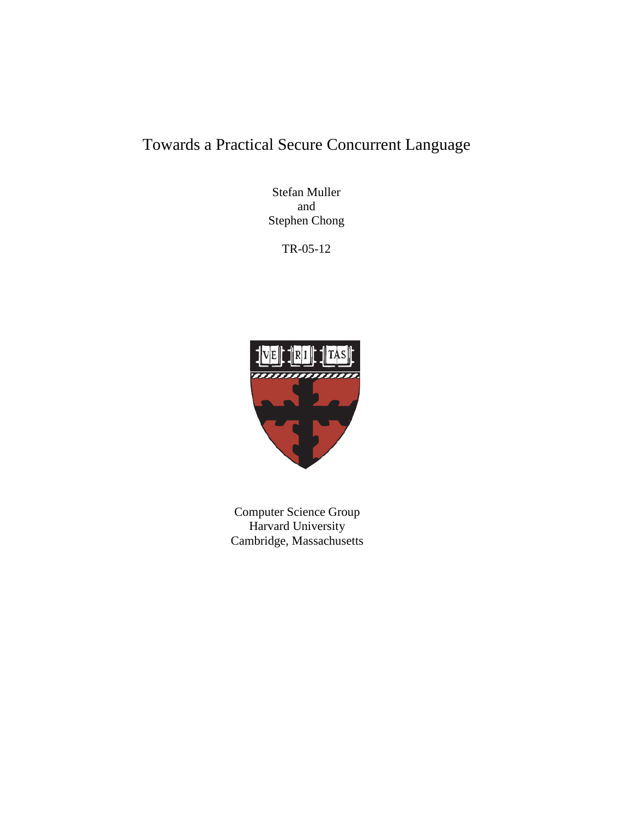# Towards a Practical Secure Concurrent Language

Stefan Muller and Stephen Chong

TR-05-12



Computer Science Group Harvard University Cambridge, Massachusetts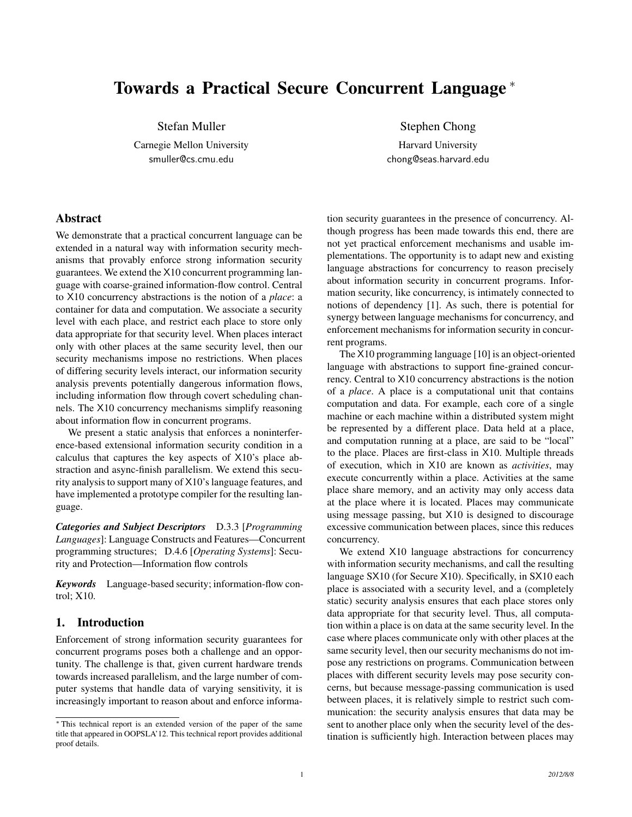# Towards a Practical Secure Concurrent Language <sup>∗</sup>

Stefan Muller

Carnegie Mellon University smuller@cs.cmu.edu

Stephen Chong Harvard University chong@seas.harvard.edu

# **Abstract**

We demonstrate that a practical concurrent language can be extended in a natural way with information security mechanisms that provably enforce strong information security guarantees. We extend the X10 concurrent programming language with coarse-grained information-flow control. Central to X10 concurrency abstractions is the notion of a *place*: a container for data and computation. We associate a security level with each place, and restrict each place to store only data appropriate for that security level. When places interact only with other places at the same security level, then our security mechanisms impose no restrictions. When places of differing security levels interact, our information security analysis prevents potentially dangerous information flows, including information flow through covert scheduling channels. The X10 concurrency mechanisms simplify reasoning about information flow in concurrent programs.

We present a static analysis that enforces a noninterference-based extensional information security condition in a calculus that captures the key aspects of X10's place abstraction and async-finish parallelism. We extend this security analysis to support many of X10's language features, and have implemented a prototype compiler for the resulting language.

*Categories and Subject Descriptors* D.3.3 [*Programming Languages*]: Language Constructs and Features—Concurrent programming structures; D.4.6 [*Operating Systems*]: Security and Protection—Information flow controls

*Keywords* Language-based security; information-flow control; X10.

# 1. Introduction

Enforcement of strong information security guarantees for concurrent programs poses both a challenge and an opportunity. The challenge is that, given current hardware trends towards increased parallelism, and the large number of computer systems that handle data of varying sensitivity, it is increasingly important to reason about and enforce information security guarantees in the presence of concurrency. Although progress has been made towards this end, there are not yet practical enforcement mechanisms and usable implementations. The opportunity is to adapt new and existing language abstractions for concurrency to reason precisely about information security in concurrent programs. Information security, like concurrency, is intimately connected to notions of dependency [1]. As such, there is potential for synergy between language mechanisms for concurrency, and enforcement mechanisms for information security in concurrent programs.

The X10 programming language [10] is an object-oriented language with abstractions to support fine-grained concurrency. Central to X10 concurrency abstractions is the notion of a *place*. A place is a computational unit that contains computation and data. For example, each core of a single machine or each machine within a distributed system might be represented by a different place. Data held at a place, and computation running at a place, are said to be "local" to the place. Places are first-class in X10. Multiple threads of execution, which in X10 are known as *activities*, may execute concurrently within a place. Activities at the same place share memory, and an activity may only access data at the place where it is located. Places may communicate using message passing, but X10 is designed to discourage excessive communication between places, since this reduces concurrency.

We extend  $X10$  language abstractions for concurrency with information security mechanisms, and call the resulting language SX10 (for Secure X10). Specifically, in SX10 each place is associated with a security level, and a (completely static) security analysis ensures that each place stores only data appropriate for that security level. Thus, all computation within a place is on data at the same security level. In the case where places communicate only with other places at the same security level, then our security mechanisms do not impose any restrictions on programs. Communication between places with different security levels may pose security concerns, but because message-passing communication is used between places, it is relatively simple to restrict such communication: the security analysis ensures that data may be sent to another place only when the security level of the destination is sufficiently high. Interaction between places may

<sup>∗</sup> This technical report is an extended version of the paper of the same title that appeared in OOPSLA'12. This technical report provides additional proof details.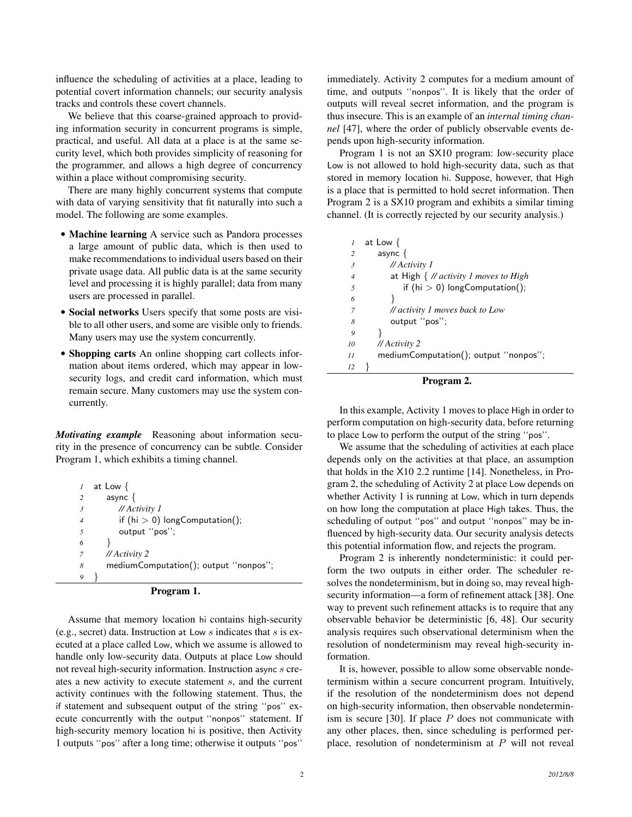influence the scheduling of activities at a place, leading to potential covert information channels; our security analysis tracks and controls these covert channels.

We believe that this coarse-grained approach to providing information security in concurrent programs is simple, practical, and useful. All data at a place is at the same security level, which both provides simplicity of reasoning for the programmer, and allows a high degree of concurrency within a place without compromising security.

There are many highly concurrent systems that compute with data of varying sensitivity that fit naturally into such a model. The following are some examples.

- Machine learning A service such as Pandora processes a large amount of public data, which is then used to make recommendations to individual users based on their private usage data. All public data is at the same security level and processing it is highly parallel; data from many users are processed in parallel.
- Social networks Users specify that some posts are visible to all other users, and some are visible only to friends. Many users may use the system concurrently.
- Shopping carts An online shopping cart collects information about items ordered, which may appear in lowsecurity logs, and credit card information, which must remain secure. Many customers may use the system concurrently.

*Motivating example* Reasoning about information security in the presence of concurrency can be subtle. Consider Program 1, which exhibits a timing channel.

```
1 at Low {
2 async {
3 // Activity 1
4 if (hi > 0) longComputation();
5 output ''pos'';
6 }
7 // Activity 2
8 mediumComputation(); output ''nonpos'';
9 }
```

| Program 1. |  |
|------------|--|
|------------|--|

Assume that memory location hi contains high-security (e.g., secret) data. Instruction at Low  $s$  indicates that  $s$  is executed at a place called Low, which we assume is allowed to handle only low-security data. Outputs at place Low should not reveal high-security information. Instruction async s creates a new activity to execute statement s, and the current activity continues with the following statement. Thus, the if statement and subsequent output of the string ''pos'' execute concurrently with the output ''nonpos'' statement. If high-security memory location hi is positive, then Activity 1 outputs ''pos'' after a long time; otherwise it outputs ''pos''

immediately. Activity 2 computes for a medium amount of time, and outputs ''nonpos''. It is likely that the order of outputs will reveal secret information, and the program is thus insecure. This is an example of an *internal timing channel* [47], where the order of publicly observable events depends upon high-security information.

Program 1 is not an SX10 program: low-security place Low is not allowed to hold high-security data, such as that stored in memory location hi. Suppose, however, that High is a place that is permitted to hold secret information. Then Program 2 is a SX10 program and exhibits a similar timing channel. (It is correctly rejected by our security analysis.)

|                | at Low $\{$                              |
|----------------|------------------------------------------|
| $\overline{c}$ | async $\{$                               |
| 3              | // Activity 1                            |
| 4              | at High $\{$ // activity 1 moves to High |
| $\overline{5}$ | if $(hi > 0)$ long Computation();        |
| 6              |                                          |
| 7              | // activity 1 moves back to Low          |
| 8              | output "pos";                            |
| 9              |                                          |
| 10             | // Activity 2                            |
| 11             | mediumComputation(); output "nonpos";    |
| 12             |                                          |

Program 2.

In this example, Activity 1 moves to place High in order to perform computation on high-security data, before returning to place Low to perform the output of the string ''pos''.

We assume that the scheduling of activities at each place depends only on the activities at that place, an assumption that holds in the X10 2.2 runtime [14]. Nonetheless, in Program 2, the scheduling of Activity 2 at place Low depends on whether Activity 1 is running at Low, which in turn depends on how long the computation at place High takes. Thus, the scheduling of output ''pos'' and output ''nonpos'' may be influenced by high-security data. Our security analysis detects this potential information flow, and rejects the program.

Program 2 is inherently nondeterministic: it could perform the two outputs in either order. The scheduler resolves the nondeterminism, but in doing so, may reveal highsecurity information—a form of refinement attack [38]. One way to prevent such refinement attacks is to require that any observable behavior be deterministic [6, 48]. Our security analysis requires such observational determinism when the resolution of nondeterminism may reveal high-security information.

It is, however, possible to allow some observable nondeterminism within a secure concurrent program. Intuitively, if the resolution of the nondeterminism does not depend on high-security information, then observable nondeterminism is secure [30]. If place  $P$  does not communicate with any other places, then, since scheduling is performed perplace, resolution of nondeterminism at  $P$  will not reveal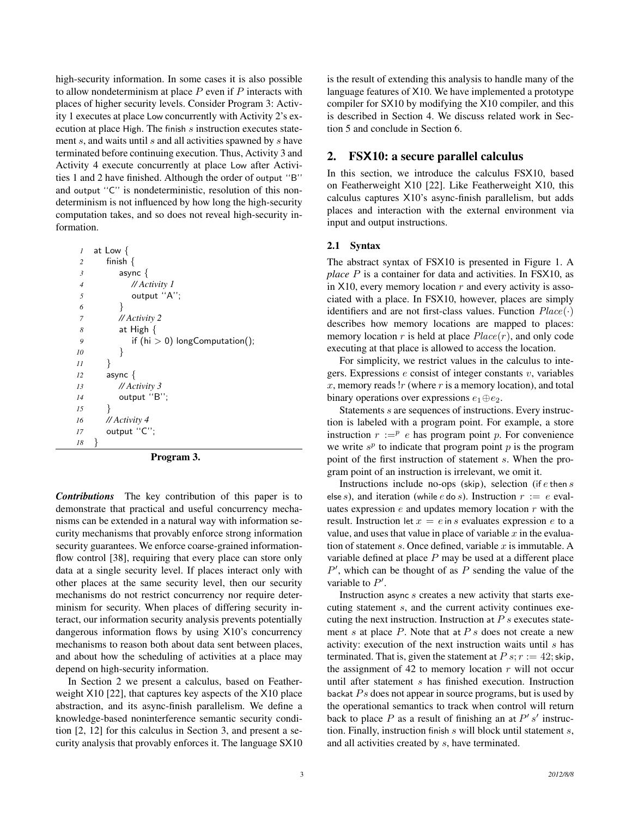high-security information. In some cases it is also possible to allow nondeterminism at place  $P$  even if  $P$  interacts with places of higher security levels. Consider Program 3: Activity 1 executes at place Low concurrently with Activity 2's execution at place High. The finish s instruction executes statement  $s$ , and waits until  $s$  and all activities spawned by  $s$  have terminated before continuing execution. Thus, Activity 3 and Activity 4 execute concurrently at place Low after Activities 1 and 2 have finished. Although the order of output ''B'' and output ''C'' is nondeterministic, resolution of this nondeterminism is not influenced by how long the high-security computation takes, and so does not reveal high-security information.

| $\mathcal I$   | at Low $\{$                      |
|----------------|----------------------------------|
| 2              | finish $\{$                      |
| $\mathfrak{Z}$ | async $\{$                       |
| $\overline{4}$ | // Activity 1                    |
| 5              | output "A":                      |
| 6              |                                  |
| $\overline{7}$ | // Activity 2                    |
| 8              | at High $\{$                     |
| 9              | if $(hi > 0)$ longComputation(); |
| 10             | ł                                |
| 11             |                                  |
| 12             | async $\{$                       |
| 13             | // Activity 3                    |
| 14             | output "B";                      |
| 15             | ł                                |
| 16             | // Activity 4                    |
| 17             | output "C";                      |
| 18             |                                  |

Program 3.

*Contributions* The key contribution of this paper is to demonstrate that practical and useful concurrency mechanisms can be extended in a natural way with information security mechanisms that provably enforce strong information security guarantees. We enforce coarse-grained informationflow control [38], requiring that every place can store only data at a single security level. If places interact only with other places at the same security level, then our security mechanisms do not restrict concurrency nor require determinism for security. When places of differing security interact, our information security analysis prevents potentially dangerous information flows by using X10's concurrency mechanisms to reason both about data sent between places, and about how the scheduling of activities at a place may depend on high-security information.

In Section 2 we present a calculus, based on Featherweight X10 [22], that captures key aspects of the X10 place abstraction, and its async-finish parallelism. We define a knowledge-based noninterference semantic security condition [2, 12] for this calculus in Section 3, and present a security analysis that provably enforces it. The language SX10 is the result of extending this analysis to handle many of the language features of X10. We have implemented a prototype compiler for SX10 by modifying the X10 compiler, and this is described in Section 4. We discuss related work in Section 5 and conclude in Section 6.

## 2. FSX10: a secure parallel calculus

In this section, we introduce the calculus FSX10, based on Featherweight X10 [22]. Like Featherweight X10, this calculus captures X10's async-finish parallelism, but adds places and interaction with the external environment via input and output instructions.

### 2.1 Syntax

The abstract syntax of FSX10 is presented in Figure 1. A *place* P is a container for data and activities. In FSX10, as in  $X10$ , every memory location r and every activity is associated with a place. In FSX10, however, places are simply identifiers and are not first-class values. Function  $Place(\cdot)$ describes how memory locations are mapped to places: memory location r is held at place  $Place(r)$ , and only code executing at that place is allowed to access the location.

For simplicity, we restrict values in the calculus to integers. Expressions  $e$  consist of integer constants  $v$ , variables  $x$ , memory reads  $'r$  (where  $r$  is a memory location), and total binary operations over expressions  $e_1 \oplus e_2$ .

Statements s are sequences of instructions. Every instruction is labeled with a program point. For example, a store instruction  $r := p$  e has program point p. For convenience we write  $s^p$  to indicate that program point  $p$  is the program point of the first instruction of statement s. When the program point of an instruction is irrelevant, we omit it.

Instructions include no-ops (skip), selection (if  $e$  then  $s$ else s), and iteration (while e do s). Instruction  $r := e$  evaluates expression  $e$  and updates memory location  $r$  with the result. Instruction let  $x = e$  in s evaluates expression e to a value, and uses that value in place of variable  $x$  in the evaluation of statement  $s$ . Once defined, variable  $x$  is immutable. A variable defined at place  $P$  may be used at a different place  $P'$ , which can be thought of as  $P$  sending the value of the variable to  $P'$ .

Instruction async  $s$  creates a new activity that starts executing statement s, and the current activity continues executing the next instruction. Instruction at  $P_s$  executes statement s at place  $P$ . Note that at  $P$  s does not create a new activity: execution of the next instruction waits until s has terminated. That is, given the statement at  $P s; r := 42$ ; skip, the assignment of 42 to memory location  $r$  will not occur until after statement s has finished execution. Instruction backat  $Ps$  does not appear in source programs, but is used by the operational semantics to track when control will return back to place P as a result of finishing an at  $P's'$  instruction. Finally, instruction finish  $s$  will block until statement  $s$ , and all activities created by s, have terminated.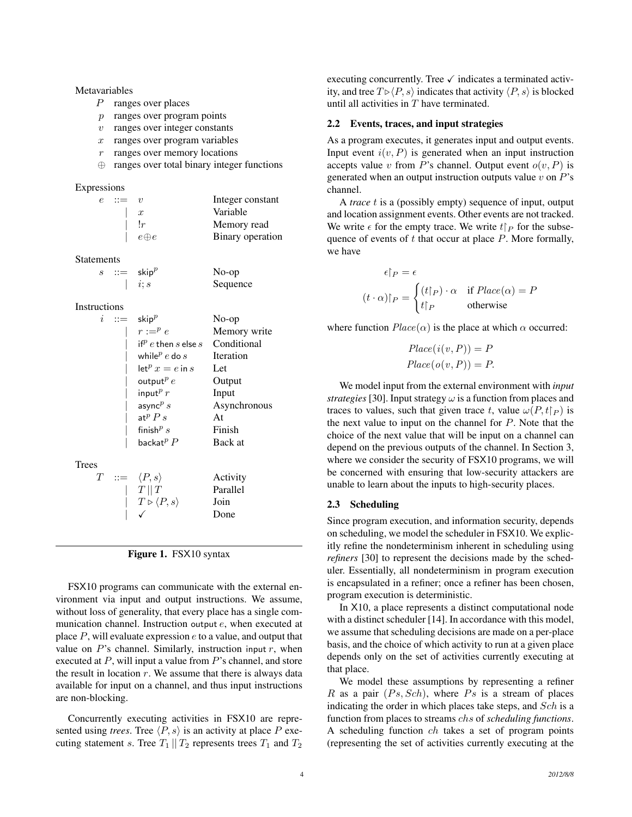## Metavariables

- P ranges over places
- p ranges over program points
- $v$  ranges over integer constants
- $x$  ranges over program variables
- $r$  ranges over memory locations
- ⊕ ranges over total binary integer functions

Expressions

| $\epsilon$ | $ ::= v$ |                  | Integer constant |
|------------|----------|------------------|------------------|
|            |          | $\boldsymbol{x}$ | Variable         |
|            |          | $\mathbf{r}$     | Memory read      |
|            |          | $e{\oplus}e$     | Binary operation |

#### Statements

 $s$  ::= skip<sup>p</sup> No-op  $i; s$  Sequence

Instructions

| skip $P$                     | $No$ -op                                                                                       |
|------------------------------|------------------------------------------------------------------------------------------------|
| $r := p e$                   | Memory write                                                                                   |
| if $P$ $e$ then $s$ else $s$ | Conditional                                                                                    |
| while $P$ $e$ do $s$         | Iteration                                                                                      |
| $\det^p x = e$ in s          | Let                                                                                            |
| output $^p e$                | Output                                                                                         |
| input $^p r$                 | Input                                                                                          |
| async $P s$                  | Asynchronous                                                                                   |
| at <sup>p</sup> $P s$        | At                                                                                             |
| finish $P_s$                 | Finish                                                                                         |
| backat $P$ $P$               | Back at                                                                                        |
|                              |                                                                                                |
|                              | Activity                                                                                       |
|                              | Parallel                                                                                       |
|                              | Join                                                                                           |
|                              | Done                                                                                           |
|                              | $i$ ::=<br>$T \ ::= \ \langle P, s \rangle$<br>T  T<br>$T \triangleright \langle P, s \rangle$ |

| Figure 1. FSX10 syntax |  |  |
|------------------------|--|--|
|------------------------|--|--|

FSX10 programs can communicate with the external environment via input and output instructions. We assume, without loss of generality, that every place has a single communication channel. Instruction output e, when executed at place  $P$ , will evaluate expression  $e$  to a value, and output that value on  $P$ 's channel. Similarly, instruction input r, when executed at  $P$ , will input a value from  $P$ 's channel, and store the result in location  $r$ . We assume that there is always data available for input on a channel, and thus input instructions are non-blocking.

Concurrently executing activities in FSX10 are represented using *trees*. Tree  $\langle P, s \rangle$  is an activity at place P executing statement s. Tree  $T_1 || T_2$  represents trees  $T_1$  and  $T_2$ 

executing concurrently. Tree  $\checkmark$  indicates a terminated activity, and tree  $T \triangleright \langle P, s \rangle$  indicates that activity  $\langle P, s \rangle$  is blocked until all activities in  $T$  have terminated.

## 2.2 Events, traces, and input strategies

As a program executes, it generates input and output events. Input event  $i(v, P)$  is generated when an input instruction accepts value v from P's channel. Output event  $o(v, P)$  is generated when an output instruction outputs value  $v$  on  $P$ 's channel.

A *trace* t is a (possibly empty) sequence of input, output and location assignment events. Other events are not tracked. We write  $\epsilon$  for the empty trace. We write  $t\upharpoonright_P$  for the subsequence of events of  $t$  that occur at place  $P$ . More formally, we have

$$
\epsilon \upharpoonright_P = \epsilon
$$
  

$$
(t \cdot \alpha) \upharpoonright_P = \begin{cases} (t \upharpoonright_P) \cdot \alpha & \text{if } Place(\alpha) = P \\ t \upharpoonright_P & \text{otherwise} \end{cases}
$$

where function  $Place(\alpha)$  is the place at which  $\alpha$  occurred:

$$
Place(i(v, P)) = P
$$

$$
Place(o(v, P)) = P.
$$

We model input from the external environment with *input strategies* [30]. Input strategy  $\omega$  is a function from places and traces to values, such that given trace t, value  $\omega(P, t\vert_P)$  is the next value to input on the channel for  $P$ . Note that the choice of the next value that will be input on a channel can depend on the previous outputs of the channel. In Section 3, where we consider the security of FSX10 programs, we will be concerned with ensuring that low-security attackers are unable to learn about the inputs to high-security places.

#### 2.3 Scheduling

Since program execution, and information security, depends on scheduling, we model the scheduler in FSX10. We explicitly refine the nondeterminism inherent in scheduling using *refiners* [30] to represent the decisions made by the scheduler. Essentially, all nondeterminism in program execution is encapsulated in a refiner; once a refiner has been chosen, program execution is deterministic.

In X10, a place represents a distinct computational node with a distinct scheduler [14]. In accordance with this model, we assume that scheduling decisions are made on a per-place basis, and the choice of which activity to run at a given place depends only on the set of activities currently executing at that place.

We model these assumptions by representing a refiner R as a pair  $(Ps, Sch)$ , where Ps is a stream of places indicating the order in which places take steps, and Sch is a function from places to streams chs of *scheduling functions*. A scheduling function ch takes a set of program points (representing the set of activities currently executing at the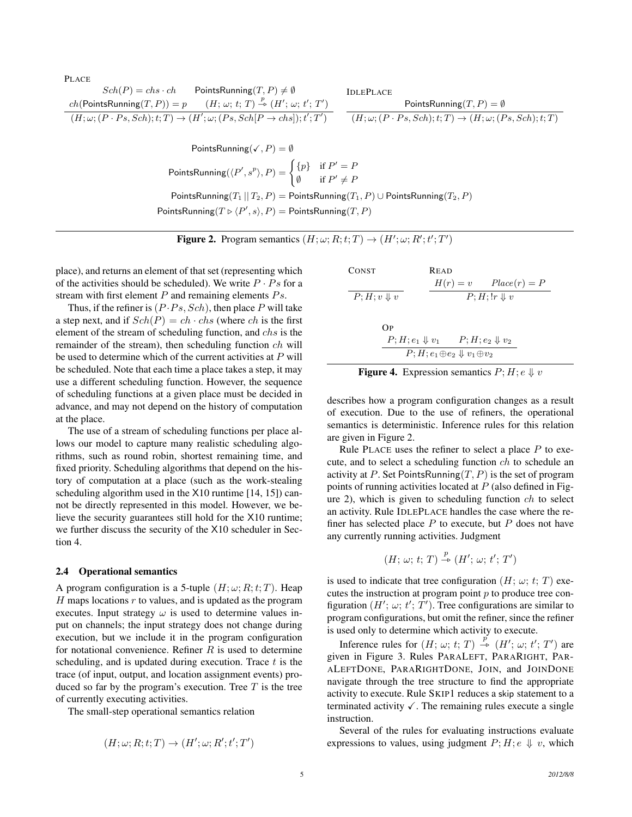PLACE

$$
Sch(P) = chs \cdot ch \qquad \text{PointsRunning}(T, P) \neq \emptyset
$$
\n
$$
ch(\text{PointsRunning}(T, P)) = p \qquad (H; \omega; t; T) \xrightarrow{p} (H'; \omega; t'; T')
$$
\n
$$
(H; \omega; (P \cdot Ps, Sch); t; T) \rightarrow (H'; \omega; (Ps, Sch[P \rightarrow chs]); t'; T')
$$
\n
$$
P\text{ointsRunning}(T, P) = \emptyset
$$
\n
$$
(H; \omega; (P \cdot Ps, Sch); t; T) \rightarrow (H; \omega; (Ps, Sch); t; T)
$$
\n
$$
\text{PointsRunning}(\sqrt{P}) = \emptyset
$$

PointsRunning(
$$
(P', s^p)
$$
,  $P) = \begin{cases} \{p\} & \text{if } P' = P \\ \emptyset & \text{if } P' \neq P \end{cases}$ 

\nPointsRunning( $T_1 || T_2, P$ ) = PointsRunning( $T_1, P$ )  $\cup$  PointsRunning( $T_2, P$ )

\nPointsRunning( $T \triangleright \langle P', s \rangle, P$ ) = PointsRunning( $T, P$ )

**Figure 2.** Program semantics  $(H; \omega; R; t; T) \rightarrow (H'; \omega; R'; t'; T')$ 

place), and returns an element of that set (representing which of the activities should be scheduled). We write  $P \cdot Ps$  for a stream with first element  $P$  and remaining elements  $Ps$ .

Thus, if the refiner is  $(P \cdot Ps, Sch)$ , then place P will take a step next, and if  $Sch(P) = ch \cdot chs$  (where ch is the first element of the stream of scheduling function, and chs is the remainder of the stream), then scheduling function *ch* will be used to determine which of the current activities at P will be scheduled. Note that each time a place takes a step, it may use a different scheduling function. However, the sequence of scheduling functions at a given place must be decided in advance, and may not depend on the history of computation at the place.

The use of a stream of scheduling functions per place allows our model to capture many realistic scheduling algorithms, such as round robin, shortest remaining time, and fixed priority. Scheduling algorithms that depend on the history of computation at a place (such as the work-stealing scheduling algorithm used in the X10 runtime [14, 15]) cannot be directly represented in this model. However, we believe the security guarantees still hold for the X10 runtime; we further discuss the security of the X10 scheduler in Section 4.

#### 2.4 Operational semantics

A program configuration is a 5-tuple  $(H; \omega; R; t; T)$ . Heap  $H$  maps locations  $r$  to values, and is updated as the program executes. Input strategy  $\omega$  is used to determine values input on channels; the input strategy does not change during execution, but we include it in the program configuration for notational convenience. Refiner  $R$  is used to determine scheduling, and is updated during execution. Trace  $t$  is the trace (of input, output, and location assignment events) produced so far by the program's execution. Tree  $T$  is the tree of currently executing activities.

The small-step operational semantics relation

$$
(H; \omega; R; t; T) \rightarrow (H'; \omega; R'; t'; T')
$$

| <b>CONST</b>                                     | <b>READ</b>                                           |  |  |  |
|--------------------------------------------------|-------------------------------------------------------|--|--|--|
|                                                  | $H(r) = v$ $Place(r) = P$                             |  |  |  |
| $P: H: v \Downarrow v$                           | $P: H: \mathord{!r} \Downarrow v$                     |  |  |  |
|                                                  |                                                       |  |  |  |
|                                                  | OР                                                    |  |  |  |
|                                                  | $P; H; e_1 \Downarrow v_1$ $P; H; e_2 \Downarrow v_2$ |  |  |  |
| $P; H; e_1 \oplus e_2 \Downarrow v_1 \oplus v_2$ |                                                       |  |  |  |

|  | <b>Figure 4.</b> Expression semantics $P$ ; $H$ ; $e \Downarrow v$ |  |  |  |
|--|--------------------------------------------------------------------|--|--|--|
|--|--------------------------------------------------------------------|--|--|--|

describes how a program configuration changes as a result of execution. Due to the use of refiners, the operational semantics is deterministic. Inference rules for this relation are given in Figure 2.

Rule PLACE uses the refiner to select a place  $P$  to execute, and to select a scheduling function ch to schedule an activity at P. Set PointsRunning $(T, P)$  is the set of program points of running activities located at  $P$  (also defined in Figure 2), which is given to scheduling function  $ch$  to select an activity. Rule IDLEPLACE handles the case where the refiner has selected place  $P$  to execute, but  $P$  does not have any currently running activities. Judgment

$$
(H; \omega; t; T) \stackrel{p}{\rightarrow} (H'; \omega; t'; T')
$$

is used to indicate that tree configuration  $(H; \omega; t; T)$  executes the instruction at program point  $p$  to produce tree configuration  $(H'; \omega; t'; T')$ . Tree configurations are similar to program configurations, but omit the refiner, since the refiner is used only to determine which activity to execute.

Inference rules for  $(H; \omega; t; T) \stackrel{p'}{\rightarrow} (H'; \omega; t'; T')$  are given in Figure 3. Rules PARALEFT, PARARIGHT, PAR-ALEFTDONE, PARARIGHTDONE, JOIN, and JOINDONE navigate through the tree structure to find the appropriate activity to execute. Rule SKIP1 reduces a skip statement to a terminated activity  $\checkmark$ . The remaining rules execute a single instruction.

Several of the rules for evaluating instructions evaluate expressions to values, using judgment  $P; H; e \Downarrow v$ , which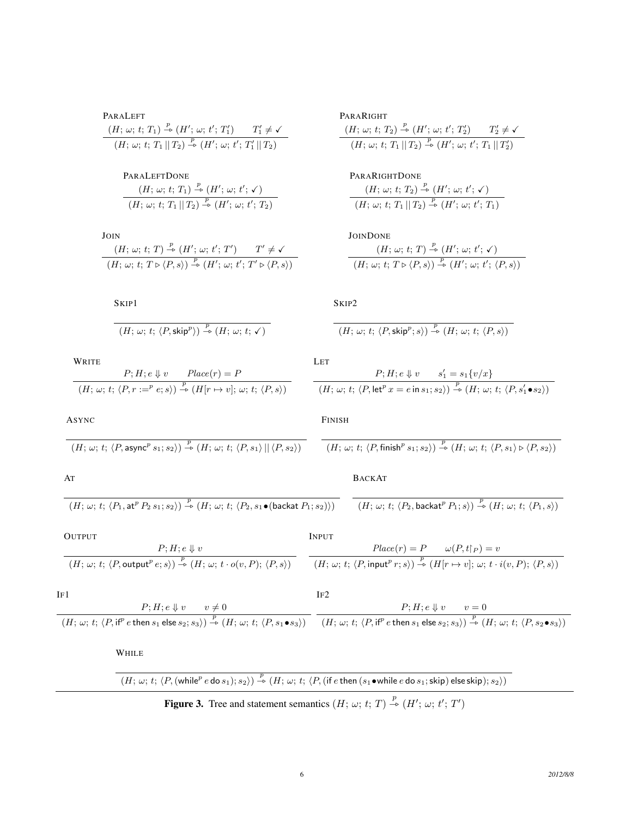| $(H; \omega; t; T_1    T_2) \stackrel{p}{\rightarrow} (H'; \omega; t'; T_2)$                                                                                                                                                               | $(H; \omega; t; T_1    T_2) \stackrel{p}{\rightarrow} (H'; \omega; t'; T_1)$                                                                                                                                                                                                                                                                                                                                                                                        |
|--------------------------------------------------------------------------------------------------------------------------------------------------------------------------------------------------------------------------------------------|---------------------------------------------------------------------------------------------------------------------------------------------------------------------------------------------------------------------------------------------------------------------------------------------------------------------------------------------------------------------------------------------------------------------------------------------------------------------|
| <b>JOIN</b>                                                                                                                                                                                                                                | <b>JOINDONE</b>                                                                                                                                                                                                                                                                                                                                                                                                                                                     |
| $(H; \omega; t; T) \stackrel{p}{\rightarrow} (H'; \omega; t'; T') \qquad T' \neq \checkmark$<br>$(H; \omega; t; T \triangleright \langle P, s \rangle) \stackrel{p}{\rightarrow} (H'; \omega; t'; T' \triangleright \langle P, s \rangle)$ | $\frac{(H; \omega; t; T) \stackrel{p}{\rightarrow} (H'; \omega; t'; \sqrt{)}}{(H; \omega; t; T \triangleright \langle P, s \rangle) \stackrel{p}{\rightarrow} (H'; \omega; t'; \langle P, s \rangle)}$                                                                                                                                                                                                                                                              |
|                                                                                                                                                                                                                                            |                                                                                                                                                                                                                                                                                                                                                                                                                                                                     |
| SKIP1                                                                                                                                                                                                                                      | SKIP2                                                                                                                                                                                                                                                                                                                                                                                                                                                               |
| $(H; \omega; t; \langle P, \mathsf{skip}^p \rangle) \stackrel{p}{\rightarrow} (H; \omega; t; \sqrt{)}$                                                                                                                                     | $(H; \omega; t; \langle P, \mathsf{skip}^p; s \rangle) \stackrel{p}{\rightarrow} (H; \omega; t; \langle P, s \rangle)$                                                                                                                                                                                                                                                                                                                                              |
| WRITE                                                                                                                                                                                                                                      | LET                                                                                                                                                                                                                                                                                                                                                                                                                                                                 |
|                                                                                                                                                                                                                                            | $P; H; e \Downarrow v$ $Place(r) = P$<br>$(H; \omega; t; \langle P, r := P e; s \rangle) \xrightarrow{P} (H[r \rightarrow v]; \omega; t; \langle P, s \rangle)$<br>$(H; \omega; t; \langle P, \text{let}^p x = e \text{ in } s_1; s_2 \rangle) \xrightarrow{P} (H; \omega; t; \langle P, s_1' \bullet s_2 \rangle)$                                                                                                                                                 |
|                                                                                                                                                                                                                                            |                                                                                                                                                                                                                                                                                                                                                                                                                                                                     |
| ASYNC                                                                                                                                                                                                                                      | <b>FINISH</b>                                                                                                                                                                                                                                                                                                                                                                                                                                                       |
|                                                                                                                                                                                                                                            | $\overbrace{(H;\,\omega;\,t;\,\langle P,\textnormal{\textsf{async}}}^{p} \textnormal{\textsf{s}}_1; \textnormal{s}_2) \xrightarrow{p} \overbrace{(H;\,\omega;\,t;\,\langle P, s_1 \rangle \,  \,\langle P, s_2 \rangle)}^{\,p}} \qquad \overbrace{(H;\,\omega;\,t;\,\langle P,\textnormal{finish}^{p} \textnormal{\textsf{s}}_1; \textnormal{s}_2 \rangle) \xrightarrow{p} (H;\,\omega;\,t;\,\langle P, s_1 \rangle \triangleright \langle P, s_2 \rangle)}^{\,p}}$ |
| AT                                                                                                                                                                                                                                         | <b>BACKAT</b>                                                                                                                                                                                                                                                                                                                                                                                                                                                       |
|                                                                                                                                                                                                                                            | $\overline{(H;\,\omega;\,t;\,\langle P_1,\textsf{at}^p\,P_2\,s_1;s_2\rangle)\xrightarrow{p}(H;\,\omega;\,t;\,\langle P_2,s_1\bullet(\textsf{backat}\,P_1;s_2)\rangle)} \qquad \overline{(H;\,\omega;\,t;\,\langle P_2,\textsf{backat}^p\,P_1;s\rangle)\xrightarrow{p}(H;\,\omega;\,t;\,\langle P_1,s\rangle)}$                                                                                                                                                      |
| <b>OUTPUT</b>                                                                                                                                                                                                                              | <b>INPUT</b>                                                                                                                                                                                                                                                                                                                                                                                                                                                        |
|                                                                                                                                                                                                                                            |                                                                                                                                                                                                                                                                                                                                                                                                                                                                     |
|                                                                                                                                                                                                                                            | $\boxed{P; H; e \Downarrow v}$ $\boxed{(H; \omega; t; \langle P, \text{output}^p e; s \rangle) \xrightarrow{p} (H; \omega; t \cdot o(v, P); \langle P, s \rangle)}$ $\boxed{(H; \omega; t; \langle P, \text{input}^p r; s \rangle) \xrightarrow{p} (H[r \leftrightarrow v]; \omega; t \cdot i(v, P); \langle P, s \rangle)}$                                                                                                                                        |
| $_{\rm IF1}$                                                                                                                                                                                                                               | IF2                                                                                                                                                                                                                                                                                                                                                                                                                                                                 |
|                                                                                                                                                                                                                                            | $\frac{P; H; e \Downarrow v \qquad v \neq 0}{(H; \omega; t; \langle P, \text{if}^p \text{ } e \text{ then } s_1 \text{ } \text{else } s_2; s_3 \rangle) \xrightarrow{p} (H; \omega; t; \langle P, s_1 \bullet s_3 \rangle)} \frac{P; H; e \Downarrow v \qquad v = 0}{(H; \omega; t; \langle P, \text{if}^p \text{ } e \text{ then } s_1 \text{ } \text{else } s_2; s_3 \rangle) \xrightarrow{p} (H; \omega; t; \langle P, s_2 \bullet s_3 \rangle)}$                |
|                                                                                                                                                                                                                                            |                                                                                                                                                                                                                                                                                                                                                                                                                                                                     |
| WHILE                                                                                                                                                                                                                                      |                                                                                                                                                                                                                                                                                                                                                                                                                                                                     |
|                                                                                                                                                                                                                                            | $(H; \omega; t; \langle P, (\text{while}^p e \text{ do } s_1); s_2 \rangle) \stackrel{p}{\rightarrow} (H; \omega; t; \langle P, (\text{if} e \text{ then } (s_1 \bullet \text{while} e \text{ do } s_1; \text{skip}) \text{ else } \text{skip}); s_2 \rangle)$                                                                                                                                                                                                      |

PARARIGHT

PARARIGHTDONE

 $(H; \omega; t; T_2) \stackrel{p}{\rightarrow} (H'; \omega; t'; T_2') \qquad T_2' \neq \checkmark$  $(H; \omega; t; T_1 \| T_2) \stackrel{p}{\rightarrow} (H'; \omega; t'; T_1 \| T_2')$ 

 $(H; \omega; t; T_2) \stackrel{p}{\rightarrow} (H'; \omega; t'; \checkmark)$ 

$$
f_{\rm{max}}
$$

| $(H; \omega; t; T_1) \stackrel{p}{\rightarrow} (H'; \omega; t'; T_1')$               | $T_1' \neq \checkmark$ |
|--------------------------------------------------------------------------------------|------------------------|
| $(H; \omega; t; T_1    T_2) \stackrel{p}{\rightarrow} (H'; \omega; t'; T_1'    T_2)$ |                        |

# PARALEFTDONE

PARALEFT

| $(H; \omega; t; T_1) \stackrel{p}{\rightarrow} (H'; \omega; t'; \sqrt{2})$   |
|------------------------------------------------------------------------------|
| $(H; \omega; t; T_1    T_2) \stackrel{p}{\rightarrow} (H'; \omega; t'; T_2)$ |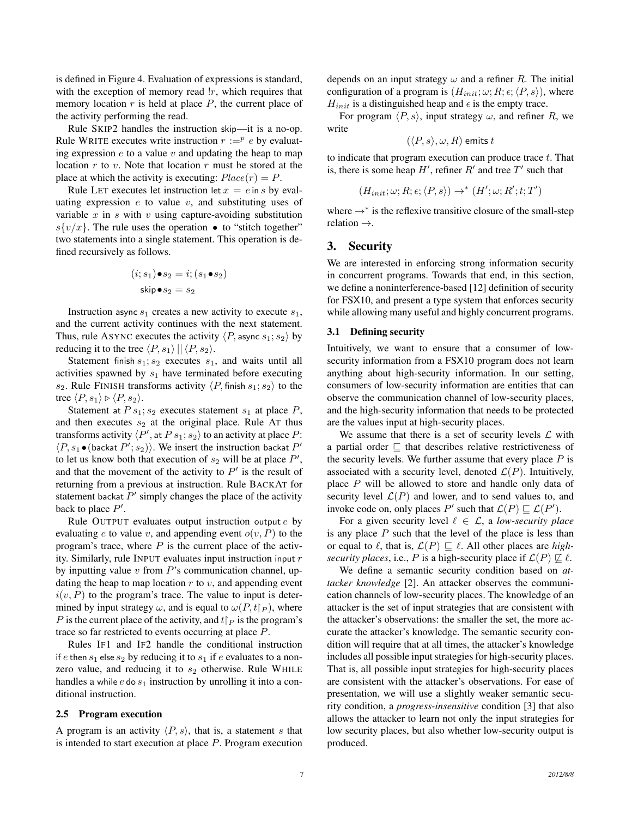is defined in Figure 4. Evaluation of expressions is standard, with the exception of memory read  $\mathbb{F}_r$ , which requires that memory location  $r$  is held at place  $P$ , the current place of the activity performing the read.

Rule SKIP2 handles the instruction skip—it is a no-op. Rule WRITE executes write instruction  $r := p$  e by evaluating expression  $e$  to a value  $v$  and updating the heap to map location  $r$  to  $v$ . Note that location  $r$  must be stored at the place at which the activity is executing:  $Place(r) = P$ .

Rule LET executes let instruction let  $x = e$  in s by evaluating expression  $e$  to value  $v$ , and substituting uses of variable  $x$  in  $s$  with  $v$  using capture-avoiding substitution  $s\{v/x\}$ . The rule uses the operation  $\bullet$  to "stitch together" two statements into a single statement. This operation is defined recursively as follows.

$$
(i; s_1) \bullet s_2 = i; (s_1 \bullet s_2)
$$
  
skip 
$$
\bullet s_2 = s_2
$$

Instruction async  $s_1$  creates a new activity to execute  $s_1$ , and the current activity continues with the next statement. Thus, rule ASYNC executes the activity  $\langle P$ , async  $s_1; s_2 \rangle$  by reducing it to the tree  $\langle P, s_1 \rangle || \langle P, s_2 \rangle$ .

Statement finish  $s_1$ ;  $s_2$  executes  $s_1$ , and waits until all activities spawned by  $s_1$  have terminated before executing s<sub>2</sub>. Rule FINISH transforms activity  $\langle P, \text{finish } s_1; s_2 \rangle$  to the tree  $\langle P, s_1 \rangle \triangleright \langle P, s_2 \rangle$ .

Statement at  $P s_1$ ;  $s_2$  executes statement  $s_1$  at place  $P$ , and then executes  $s_2$  at the original place. Rule AT thus transforms activity  $\langle P', \text{at } P s_1; s_2 \rangle$  to an activity at place  $P$ :  $\langle P, s_1 \bullet (\text{backat } P'; s_2) \rangle$ . We insert the instruction backat  $P'$ to let us know both that execution of  $s_2$  will be at place  $P'$ , and that the movement of the activity to  $P'$  is the result of returning from a previous at instruction. Rule BACKAT for statement backat  $P'$  simply changes the place of the activity back to place  $P'$ .

Rule OUTPUT evaluates output instruction output e by evaluating e to value v, and appending event  $o(v, P)$  to the program's trace, where  $P$  is the current place of the activity. Similarly, rule INPUT evaluates input instruction input r by inputting value  $v$  from  $P$ 's communication channel, updating the heap to map location  $r$  to  $v$ , and appending event  $i(v, P)$  to the program's trace. The value to input is determined by input strategy  $\omega$ , and is equal to  $\omega(P, t\vert_P)$ , where P is the current place of the activity, and  $t\upharpoonright P$  is the program's trace so far restricted to events occurring at place P.

Rules IF1 and IF2 handle the conditional instruction if  $e$  then  $s_1$  else  $s_2$  by reducing it to  $s_1$  if  $e$  evaluates to a nonzero value, and reducing it to  $s_2$  otherwise. Rule WHILE handles a while  $e$  do  $s_1$  instruction by unrolling it into a conditional instruction.

### 2.5 Program execution

A program is an activity  $\langle P, s \rangle$ , that is, a statement s that is intended to start execution at place P. Program execution depends on an input strategy  $\omega$  and a refiner R. The initial configuration of a program is  $(H_{init}; \omega; R; \epsilon; \langle P, s \rangle)$ , where  $H_{init}$  is a distinguished heap and  $\epsilon$  is the empty trace.

For program  $\langle P, s \rangle$ , input strategy  $\omega$ , and refiner R, we write

$$
(\langle P, s \rangle, \omega, R)
$$
 emits t

to indicate that program execution can produce trace  $t$ . That is, there is some heap  $H'$ , refiner  $R'$  and tree  $T'$  such that

$$
(H_{init}; \omega; R; \epsilon; \langle P, s \rangle) \rightarrow^* (H'; \omega; R'; t; T')
$$

where  $\rightarrow^*$  is the reflexive transitive closure of the small-step relation  $\rightarrow$ .

## 3. Security

We are interested in enforcing strong information security in concurrent programs. Towards that end, in this section, we define a noninterference-based [12] definition of security for FSX10, and present a type system that enforces security while allowing many useful and highly concurrent programs.

#### 3.1 Defining security

Intuitively, we want to ensure that a consumer of lowsecurity information from a FSX10 program does not learn anything about high-security information. In our setting, consumers of low-security information are entities that can observe the communication channel of low-security places, and the high-security information that needs to be protected are the values input at high-security places.

We assume that there is a set of security levels  $\mathcal L$  with a partial order  $\sqsubseteq$  that describes relative restrictiveness of the security levels. We further assume that every place  $P$  is associated with a security level, denoted  $\mathcal{L}(P)$ . Intuitively, place P will be allowed to store and handle only data of security level  $\mathcal{L}(P)$  and lower, and to send values to, and invoke code on, only places P' such that  $\mathcal{L}(P) \sqsubseteq \mathcal{L}(P')$ .

For a given security level  $\ell \in \mathcal{L}$ , a *low-security place* is any place  $P$  such that the level of the place is less than or equal to  $\ell$ , that is,  $\mathcal{L}(P) \sqsubseteq \ell$ . All other places are *highsecurity places, i.e., P* is a high-security place if  $\mathcal{L}(P) \not\sqsubseteq \ell$ .

We define a semantic security condition based on *attacker knowledge* [2]. An attacker observes the communication channels of low-security places. The knowledge of an attacker is the set of input strategies that are consistent with the attacker's observations: the smaller the set, the more accurate the attacker's knowledge. The semantic security condition will require that at all times, the attacker's knowledge includes all possible input strategies for high-security places. That is, all possible input strategies for high-security places are consistent with the attacker's observations. For ease of presentation, we will use a slightly weaker semantic security condition, a *progress-insensitive* condition [3] that also allows the attacker to learn not only the input strategies for low security places, but also whether low-security output is produced.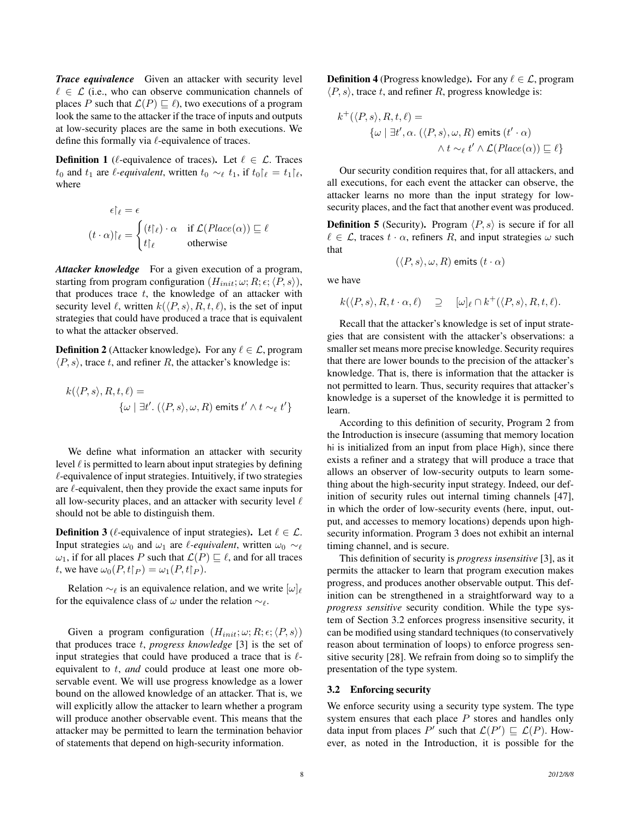*Trace equivalence* Given an attacker with security level  $\ell \in \mathcal{L}$  (i.e., who can observe communication channels of places P such that  $\mathcal{L}(P) \sqsubseteq \ell$ , two executions of a program look the same to the attacker if the trace of inputs and outputs at low-security places are the same in both executions. We define this formally via  $\ell$ -equivalence of traces.

**Definition 1** ( $\ell$ -equivalence of traces). Let  $\ell \in \mathcal{L}$ . Traces *t*<sub>0</sub> and *t*<sub>1</sub> are *l*-*equivalent*, written  $t_0 \sim_\ell t_1$ , if  $t_0\upharpoonright_\ell = t_1\upharpoonright_\ell$ , where

$$
\epsilon \upharpoonright_{\ell} = \epsilon
$$
\n
$$
(t \cdot \alpha) \upharpoonright_{\ell} = \begin{cases} (t \upharpoonright_{\ell}) \cdot \alpha & \text{if } \mathcal{L}(Place(\alpha)) \sqsubseteq \ell \\ t \upharpoonright_{\ell} & \text{otherwise} \end{cases}
$$

*Attacker knowledge* For a given execution of a program, starting from program configuration  $(H_{init}; \omega; R; \epsilon; \langle P, s \rangle)$ , that produces trace  $t$ , the knowledge of an attacker with security level  $\ell$ , written  $k(\langle P, s \rangle, R, t, \ell)$ , is the set of input strategies that could have produced a trace that is equivalent to what the attacker observed.

**Definition 2** (Attacker knowledge). For any  $\ell \in \mathcal{L}$ , program  $\langle P, s \rangle$ , trace t, and refiner R, the attacker's knowledge is:

$$
k(\langle P, s \rangle, R, t, \ell) =
$$
  

$$
\{\omega \mid \exists t'. (\langle P, s \rangle, \omega, R) \text{ emits } t' \wedge t \sim_{\ell} t'\}
$$

We define what information an attacker with security level  $\ell$  is permitted to learn about input strategies by defining  $\ell$ -equivalence of input strategies. Intuitively, if two strategies are  $\ell$ -equivalent, then they provide the exact same inputs for all low-security places, and an attacker with security level  $\ell$ should not be able to distinguish them.

**Definition 3** ( $\ell$ -equivalence of input strategies). Let  $\ell \in \mathcal{L}$ . Input strategies  $\omega_0$  and  $\omega_1$  are  $\ell$ -equivalent, written  $\omega_0 \sim_{\ell}$  $\omega_1$ , if for all places P such that  $\mathcal{L}(P) \sqsubseteq \ell$ , and for all traces t, we have  $\omega_0(P, t\upharpoonright_P) = \omega_1(P, t\upharpoonright_P)$ .

Relation  $\sim_{\ell}$  is an equivalence relation, and we write  $[\omega]_{\ell}$ for the equivalence class of  $\omega$  under the relation  $\sim_{\ell}$ .

Given a program configuration  $(H_{init}; \omega; R; \epsilon; \langle P, s \rangle)$ that produces trace t, *progress knowledge* [3] is the set of input strategies that could have produced a trace that is  $\ell$ equivalent to t, *and* could produce at least one more observable event. We will use progress knowledge as a lower bound on the allowed knowledge of an attacker. That is, we will explicitly allow the attacker to learn whether a program will produce another observable event. This means that the attacker may be permitted to learn the termination behavior of statements that depend on high-security information.

**Definition 4** (Progress knowledge). For any  $\ell \in \mathcal{L}$ , program  $\langle P, s \rangle$ , trace t, and refiner R, progress knowledge is:

$$
k^+(\langle P, s \rangle, R, t, \ell) =
$$
  

$$
\{\omega \mid \exists t', \alpha. (\langle P, s \rangle, \omega, R) \text{ emits } (t' \cdot \alpha)
$$
  

$$
\wedge t \sim_{\ell} t' \wedge \mathcal{L}(Place(\alpha)) \sqsubseteq \ell\}
$$

Our security condition requires that, for all attackers, and all executions, for each event the attacker can observe, the attacker learns no more than the input strategy for lowsecurity places, and the fact that another event was produced.

**Definition 5** (Security). Program  $\langle P, s \rangle$  is secure if for all  $\ell \in \mathcal{L}$ , traces  $t \cdot \alpha$ , refiners R, and input strategies  $\omega$  such that

$$
(\langle P, s \rangle, \omega, R) \text{ emits } (t \cdot \alpha)
$$

we have

$$
k(\langle P, s \rangle, R, t \cdot \alpha, \ell) \quad \supseteq \quad [\omega]_{\ell} \cap k^+(\langle P, s \rangle, R, t, \ell).
$$

Recall that the attacker's knowledge is set of input strategies that are consistent with the attacker's observations: a smaller set means more precise knowledge. Security requires that there are lower bounds to the precision of the attacker's knowledge. That is, there is information that the attacker is not permitted to learn. Thus, security requires that attacker's knowledge is a superset of the knowledge it is permitted to learn.

According to this definition of security, Program 2 from the Introduction is insecure (assuming that memory location hi is initialized from an input from place High), since there exists a refiner and a strategy that will produce a trace that allows an observer of low-security outputs to learn something about the high-security input strategy. Indeed, our definition of security rules out internal timing channels [47], in which the order of low-security events (here, input, output, and accesses to memory locations) depends upon highsecurity information. Program 3 does not exhibit an internal timing channel, and is secure.

This definition of security is *progress insensitive* [3], as it permits the attacker to learn that program execution makes progress, and produces another observable output. This definition can be strengthened in a straightforward way to a *progress sensitive* security condition. While the type system of Section 3.2 enforces progress insensitive security, it can be modified using standard techniques (to conservatively reason about termination of loops) to enforce progress sensitive security [28]. We refrain from doing so to simplify the presentation of the type system.

#### 3.2 Enforcing security

We enforce security using a security type system. The type system ensures that each place P stores and handles only data input from places P' such that  $\mathcal{L}(P') \sqsubseteq \mathcal{L}(P)$ . However, as noted in the Introduction, it is possible for the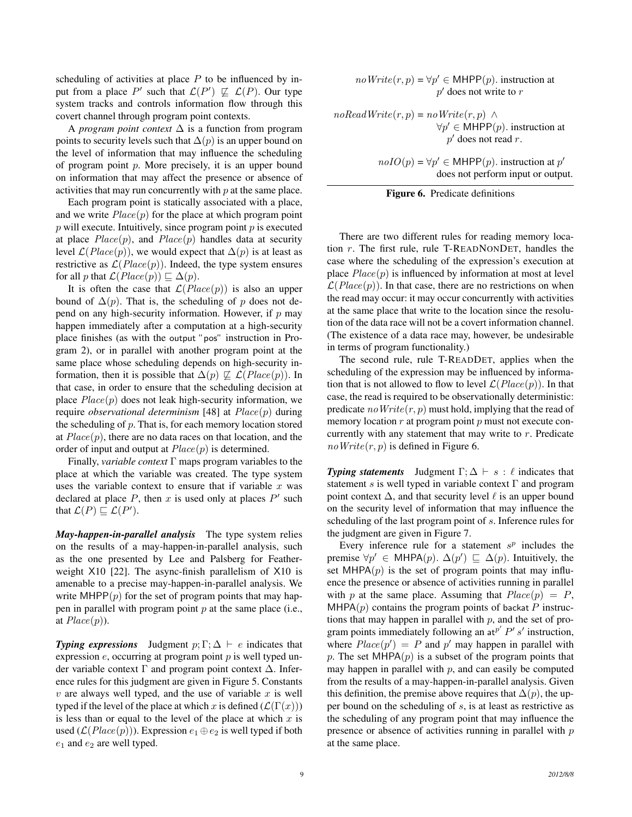scheduling of activities at place  $P$  to be influenced by input from a place P' such that  $\mathcal{L}(P') \nsubseteq \mathcal{L}(P)$ . Our type system tracks and controls information flow through this covert channel through program point contexts.

A *program point context* ∆ is a function from program points to security levels such that  $\Delta(p)$  is an upper bound on the level of information that may influence the scheduling of program point  $p$ . More precisely, it is an upper bound on information that may affect the presence or absence of activities that may run concurrently with p at the same place.

Each program point is statically associated with a place, and we write  $Place(p)$  for the place at which program point  $p$  will execute. Intuitively, since program point  $p$  is executed at place  $Place(p)$ , and  $Place(p)$  handles data at security level  $\mathcal{L}(Place(p))$ , we would expect that  $\Delta(p)$  is at least as restrictive as  $\mathcal{L}(Place(p))$ . Indeed, the type system ensures for all p that  $\mathcal{L}(Place(p)) \sqsubseteq \Delta(p)$ .

It is often the case that  $\mathcal{L}(Place(p))$  is also an upper bound of  $\Delta(p)$ . That is, the scheduling of p does not depend on any high-security information. However, if  $p$  may happen immediately after a computation at a high-security place finishes (as with the output "pos" instruction in Program 2), or in parallel with another program point at the same place whose scheduling depends on high-security information, then it is possible that  $\Delta(p) \not\sqsubseteq \mathcal{L}(Place(p)).$  In that case, in order to ensure that the scheduling decision at place  $Place(p)$  does not leak high-security information, we require *observational determinism* [48] at Place(p) during the scheduling of  $p$ . That is, for each memory location stored at  $Place(p)$ , there are no data races on that location, and the order of input and output at  $Place(p)$  is determined.

Finally, *variable context* Γ maps program variables to the place at which the variable was created. The type system uses the variable context to ensure that if variable  $x$  was declared at place  $P$ , then  $x$  is used only at places  $P'$  such that  $\mathcal{L}(P) \sqsubseteq \mathcal{L}(P')$ .

*May-happen-in-parallel analysis* The type system relies on the results of a may-happen-in-parallel analysis, such as the one presented by Lee and Palsberg for Featherweight X10 [22]. The async-finish parallelism of X10 is amenable to a precise may-happen-in-parallel analysis. We write  $MHPP(p)$  for the set of program points that may happen in parallel with program point  $p$  at the same place (i.e., at  $Place(p)$ ).

*Typing expressions* Judgment  $p: \Gamma: \Delta \vdash e$  indicates that expression  $e$ , occurring at program point  $p$  is well typed under variable context  $\Gamma$  and program point context  $\Delta$ . Inference rules for this judgment are given in Figure 5. Constants  $v$  are always well typed, and the use of variable  $x$  is well typed if the level of the place at which x is defined  $(\mathcal{L}(\Gamma(x)))$ is less than or equal to the level of the place at which  $x$  is used ( $\mathcal{L}(Place(p))$ ). Expression  $e_1 \oplus e_2$  is well typed if both  $e_1$  and  $e_2$  are well typed.

 $noWrite(r, p) = \forall p' \in \text{MHPP}(p)$ . instruction at  $p'$  does not write to  $r$ 

 $noReadWrite(r, p) = noWrite(r, p) \wedge$  $\forall p' \in \text{MHPP}(p)$ . instruction at  $p'$  does not read r.

> $noIO(p) = \forall p' \in \text{MHPP}(p)$ . instruction at  $p'$ does not perform input or output.



There are two different rules for reading memory location r. The first rule, rule T-READNONDET, handles the case where the scheduling of the expression's execution at place  $Place(p)$  is influenced by information at most at level  $\mathcal{L}(Place(p))$ . In that case, there are no restrictions on when the read may occur: it may occur concurrently with activities at the same place that write to the location since the resolution of the data race will not be a covert information channel. (The existence of a data race may, however, be undesirable in terms of program functionality.)

The second rule, rule T-READDET, applies when the scheduling of the expression may be influenced by information that is not allowed to flow to level  $\mathcal{L}(Place(p))$ . In that case, the read is required to be observationally deterministic: predicate  $no Write(r, p)$  must hold, implying that the read of memory location  $r$  at program point  $p$  must not execute concurrently with any statement that may write to r. Predicate  $noWrite(r, p)$  is defined in Figure 6.

*Typing statements* Judgment  $\Gamma$ ;  $\Delta \vdash s : \ell$  indicates that statement s is well typed in variable context  $\Gamma$  and program point context  $\Delta$ , and that security level  $\ell$  is an upper bound on the security level of information that may influence the scheduling of the last program point of s. Inference rules for the judgment are given in Figure 7.

Every inference rule for a statement  $s^p$  includes the premise  $\forall p' \in \mathsf{MHPA}(p)$ .  $\Delta(p') \sqsubseteq \Delta(p)$ . Intuitively, the set MHPA $(p)$  is the set of program points that may influence the presence or absence of activities running in parallel with p at the same place. Assuming that  $Place(p) = P$ ,  $MHPA(p)$  contains the program points of backat P instructions that may happen in parallel with  $p$ , and the set of program points immediately following an  $ar^{p'} P's'$  instruction, where  $Place(p') = P$  and p' may happen in parallel with p. The set MHPA $(p)$  is a subset of the program points that may happen in parallel with  $p$ , and can easily be computed from the results of a may-happen-in-parallel analysis. Given this definition, the premise above requires that  $\Delta(p)$ , the upper bound on the scheduling of s, is at least as restrictive as the scheduling of any program point that may influence the presence or absence of activities running in parallel with p at the same place.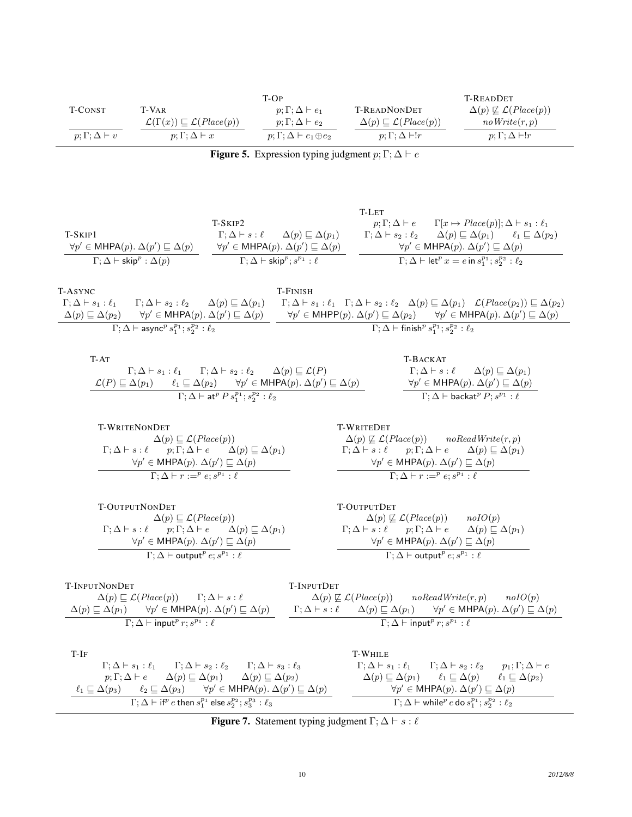| T-CONST                      | T-VAR                                                                                                                                                                                                                                                                                                                                                                                                                                                                                                    | T-OP<br>$p; \Gamma; \Delta \vdash e_1$                                                                                                                                                                                      | T-READNONDET                                                                                                                                                                                                                                                                                                                                                                                                             | <b>T-READDET</b><br>$\Delta(p) \not\sqsubseteq \mathcal{L}(Place(p))$                                                                                                                                                                                                                                                                                                                  |
|------------------------------|----------------------------------------------------------------------------------------------------------------------------------------------------------------------------------------------------------------------------------------------------------------------------------------------------------------------------------------------------------------------------------------------------------------------------------------------------------------------------------------------------------|-----------------------------------------------------------------------------------------------------------------------------------------------------------------------------------------------------------------------------|--------------------------------------------------------------------------------------------------------------------------------------------------------------------------------------------------------------------------------------------------------------------------------------------------------------------------------------------------------------------------------------------------------------------------|----------------------------------------------------------------------------------------------------------------------------------------------------------------------------------------------------------------------------------------------------------------------------------------------------------------------------------------------------------------------------------------|
| $p; \Gamma; \Delta \vdash v$ | $\mathcal{L}(\Gamma(x)) \sqsubseteq \mathcal{L}(Place(p))$<br>$p; \Gamma; \Delta \vdash x$                                                                                                                                                                                                                                                                                                                                                                                                               | $p; \Gamma; \Delta \vdash e_2$<br>$p;\Gamma;\Delta\vdash e_{1}\oplus e_{2}$                                                                                                                                                 | $\Delta(p) \sqsubseteq \mathcal{L}(Place(p))$<br>$p; \Gamma; \overline{\Delta \vdash !r}$                                                                                                                                                                                                                                                                                                                                | no Write(r, p)<br>$p; \Gamma; \Delta \vdash !r$                                                                                                                                                                                                                                                                                                                                        |
|                              |                                                                                                                                                                                                                                                                                                                                                                                                                                                                                                          | <b>Figure 5.</b> Expression typing judgment $p: \Gamma: \Delta \vdash e$                                                                                                                                                    |                                                                                                                                                                                                                                                                                                                                                                                                                          |                                                                                                                                                                                                                                                                                                                                                                                        |
| T-SKIP1                      | T-SKIP2<br>$\forall p' \in \mathsf{MHPA}(p). \ \Delta(p') \sqsubseteq \Delta(p)$<br>$\Gamma$ : $\Delta$ $\vdash$ skip <sup>p</sup> : $\Delta(p)$                                                                                                                                                                                                                                                                                                                                                         | $\Gamma; \Delta \vdash s : \ell \qquad \Delta(p) \sqsubseteq \Delta(p_1)$<br>$\forall p' \in \mathsf{MHPA}(p) \ldotp \Delta(p') \sqsubseteq \Delta(p)$<br>$\Gamma$ : $\Delta \vdash$ skip <sup>p</sup> : $s^{p_1}$ : $\ell$ | T-LET                                                                                                                                                                                                                                                                                                                                                                                                                    | $p; \Gamma; \Delta \vdash e \qquad \Gamma[x \mapsto Place(p)]; \Delta \vdash s_1 : \ell_1$<br>$\Gamma; \Delta \vdash s_2 : \ell_2 \qquad \Delta(p) \sqsubseteq \Delta(p_1) \qquad \ell_1 \sqsubseteq \Delta(p_2)$<br>$\forall p' \in \text{MHPA}(p) \colon \Delta(p') \sqsubseteq \Delta(p)$<br>$\Gamma; \Delta \vdash \text{let}^{p} x = e \text{ in } s_1^{p_1}; s_2^{p_2} : \ell_2$ |
| T-ASYNC                      | $\Gamma; \Delta \vdash s_1 : \ell_1 \qquad \Gamma; \Delta \vdash s_2 : \ell_2 \qquad \Delta(p) \sqsubseteq \Delta(p_1)$<br>$\Delta(p) \sqsubseteq \Delta(p_2)$ $\forall p' \in \text{MHPA}(p)$ . $\Delta(p') \sqsubseteq \Delta(p)$<br>$\Gamma$ ; $\Delta$ $\vdash$ async <sup>p</sup> $s_1^{p_1}$ ; $s_2^{p_2}$ : $\ell_2$                                                                                                                                                                              | <b>T-FINISH</b>                                                                                                                                                                                                             | $\Gamma; \Delta \vdash s_1 : \ell_1 \quad \Gamma; \Delta \vdash s_2 : \ell_2 \quad \Delta(p) \sqsubseteq \Delta(p_1) \quad \mathcal{L}(Place(p_2)) \sqsubseteq \Delta(p_2)$<br>$\forall p' \in \mathsf{MHPP}(p) \ldotp \Delta(p') \sqsubseteq \Delta(p_2) \qquad \forall p' \in \mathsf{MHPA}(p) \ldotp \Delta(p') \sqsubseteq \Delta(p)$<br>$\Gamma; \Delta \vdash \textsf{finish}^p s_1^{p_1}; s_2^{p_2} : \ell_2$     |                                                                                                                                                                                                                                                                                                                                                                                        |
| T-AT                         | $\Gamma; \Delta \vdash s_1 : \ell_1 \qquad \Gamma; \Delta \vdash s_2 : \ell_2 \qquad \Delta(p) \sqsubseteq \mathcal{L}(P)$<br>$\mathcal{L}(P) \sqsubseteq \Delta(p_1)$ $\ell_1 \sqsubseteq \Delta(p_2)$ $\forall p' \in \mathsf{MHPA}(p) \ldots \Delta(p') \sqsubseteq \Delta(p)$<br>$\Gamma; \Delta \vdash \mathsf{at}^p P s_1^{p_1}; s_2^{p_2} : \ell_2$                                                                                                                                               |                                                                                                                                                                                                                             | <b>T-BACKAT</b>                                                                                                                                                                                                                                                                                                                                                                                                          | $\Gamma; \Delta \vdash s : \ell \quad \Delta(p) \sqsubseteq \Delta(p_1)$<br>$\forall p' \in \text{MHPA}(p) \ldotp \Delta(p') \sqsubseteq \Delta(p)$<br>$\Gamma; \Delta \vdash$ backat <sup>p</sup> $P; s^{p_1} : \ell$                                                                                                                                                                 |
|                              | T-WRITENONDET<br>$\Delta(p) \sqsubseteq \mathcal{L}(Place(p))$<br>$\Gamma; \Delta \vdash s : \ell \quad p; \Gamma; \Delta \vdash e \quad \Delta(p) \sqsubseteq \Delta(p_1)$<br>$\forall p' \in \mathsf{MHPA}(p) \ldotp \Delta(p') \sqsubseteq \Delta(p)$<br>$\Gamma; \Delta \vdash r := p e; s^{p_1} : l$                                                                                                                                                                                                |                                                                                                                                                                                                                             | T-WRITEDET<br>$\Delta(p) \not\sqsubseteq \mathcal{L}(Place(p))$ noReadWrite(r, p)<br>$\Gamma; \Delta \vdash s : \ell \quad p; \Gamma; \Delta \vdash e \quad \Delta(p) \sqsubseteq \Delta(p_1)$<br>$\forall p' \in \text{MHPA}(p) \colon \Delta(p') \sqsubseteq \Delta(p)$<br>$\overline{\Gamma : \Delta \vdash r :=^p e; s^{p_1} : \ell}$                                                                                |                                                                                                                                                                                                                                                                                                                                                                                        |
|                              | T-OUTPUTNONDET<br>$\Delta(p) \sqsubseteq \mathcal{L}(Place(p))$<br>$\Gamma; \Delta \vdash s : \ell$ $p; \Gamma; \Delta \vdash e$ $\Delta(p) \sqsubseteq \Delta(p_1)$<br>$\forall p' \in \mathsf{MHPA}(p) \ldotp \Delta(p') \sqsubseteq \Delta(p)$<br>$\overline{\Gamma;\Delta \vdash \textsf{output}^p e; s^{p_1} : \ell}$                                                                                                                                                                               |                                                                                                                                                                                                                             | T-OUTPUTDET<br>$\Delta(p) \not\sqsubseteq \mathcal{L}(Place(p)) \qquad \text{noIO}(p)$<br>$\Gamma; \Delta \vdash s : \ell \qquad p; \Gamma; \Delta \vdash e \qquad \Delta(p) \sqsubseteq \Delta(p_1)$<br>$\forall p' \in \mathsf{MHPA}(p) \ldotp \Delta(p') \sqsubseteq \Delta(p)$<br>$\Gamma$ ; $\Delta \vdash$ output <sup>p</sup> e; $s^{p_1}$ : $\ell$                                                               |                                                                                                                                                                                                                                                                                                                                                                                        |
| T-INPUTNONDET                | $\Delta(p) \sqsubseteq \mathcal{L}(Place(p)) \qquad \Gamma; \Delta \vdash s : \ell$<br>$\Delta(p) \sqsubseteq \Delta(p_1)$ $\forall p' \in \mathsf{MHPA}(p)$ . $\Delta(p') \sqsubseteq \Delta(p)$<br>$\Gamma$ ; $\Delta$ + input <sup>p</sup> r; $s^{p_1}$ : $\ell$                                                                                                                                                                                                                                      | T-INPUTDET                                                                                                                                                                                                                  | $\Delta(p) \not\sqsubseteq \mathcal{L}(Place(p)) \qquad noReadWrite(r,p)$<br>$\Gamma; \Delta \vdash s : \ell \qquad \Delta(p) \sqsubseteq \Delta(p_1) \qquad \forall p' \in \mathsf{MHPA}(p). \ \Delta(p') \sqsubseteq \Delta(p)$<br>$\Gamma; \Delta \vdash \text{input}^p r; s^{p_1} : \ell$                                                                                                                            | noIO(p)                                                                                                                                                                                                                                                                                                                                                                                |
| $T-IF$                       | $\Gamma; \Delta \vdash s_1 : \ell_1 \quad \Gamma; \Delta \vdash s_2 : \ell_2 \quad \Gamma; \Delta \vdash s_3 : \ell_3$<br>$p;\Gamma;\Delta \vdash e \qquad \Delta(p) \sqsubseteq \Delta(p_1) \qquad \Delta(p) \sqsubseteq \Delta(p_2)$<br>$\ell_1 \sqsubseteq \Delta(p_3)$ $\ell_2 \sqsubseteq \Delta(p_3)$ $\forall p' \in \mathsf{MHPA}(p) \cdot \Delta(p') \sqsubseteq \Delta(p)$<br>$\Gamma$ ; $\Delta$ $\vdash$ if <sup>p</sup> <i>e</i> then $s_1^{p_1}$ else $s_2^{p_2}$ ; $s_3^{p_3}$ : $\ell_3$ | $\Gamma$ igung $\overline{7}$ . Stotement tuning indement $\Gamma$ , $\Lambda \vdash \circ \cdot \theta$                                                                                                                    | <b>T-WHILE</b><br>$\Gamma; \Delta \vdash s_1 : \ell_1 \qquad \Gamma; \Delta \vdash s_2 : \ell_2 \qquad p_1; \Gamma; \Delta \vdash e$<br>$\Delta(p) \sqsubseteq \Delta(p_1) \qquad \ell_1 \sqsubseteq \Delta(p) \qquad \ell_1 \sqsubseteq \Delta(p_2)$<br>$\forall p' \in \text{MHPA}(p)$ . $\Delta(p') \sqsubseteq \Delta(p)$<br>$\Gamma$ ; $\Delta \vdash$ while <sup>p</sup> e do $s_1^{p_1}$ ; $s_2^{p_2}$ : $\ell_2$ |                                                                                                                                                                                                                                                                                                                                                                                        |

**Figure 7.** Statement typing judgment  $\Gamma$ ;  $\Delta \vdash s : \ell$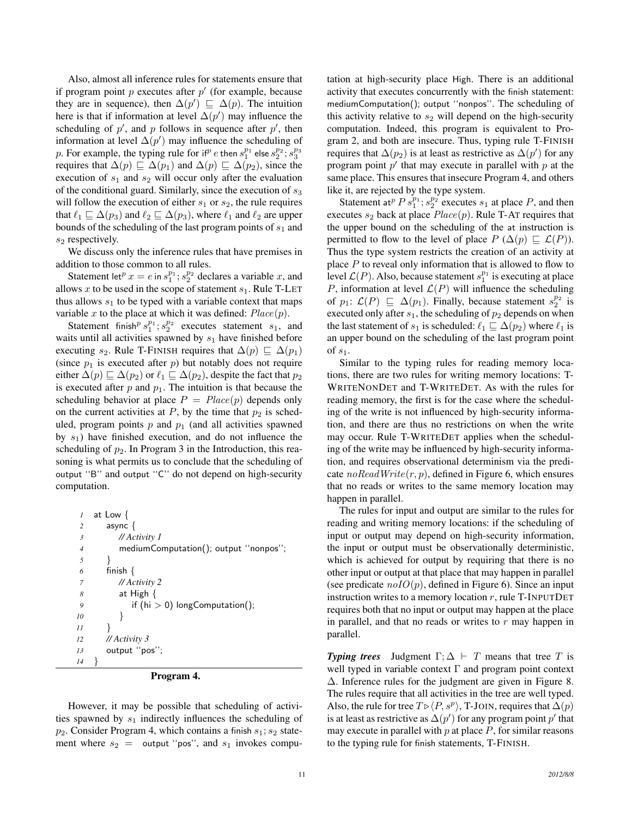Also, almost all inference rules for statements ensure that if program point  $p$  executes after  $p'$  (for example, because they are in sequence), then  $\Delta(p') \subseteq \Delta(p)$ . The intuition here is that if information at level  $\Delta(p')$  may influence the scheduling of  $p'$ , and  $p$  follows in sequence after  $p'$ , then information at level  $\Delta(p')$  may influence the scheduling of p. For example, the typing rule for if  $P$  e then  $s_1^{p_1}$  else  $s_2^{p_2}$ ;  $s_3^{p_3}$ requires that  $\Delta(p) \sqsubseteq \Delta(p_1)$  and  $\Delta(p) \sqsubseteq \Delta(p_2)$ , since the execution of  $s_1$  and  $s_2$  will occur only after the evaluation of the conditional guard. Similarly, since the execution of  $s_3$ will follow the execution of either  $s_1$  or  $s_2$ , the rule requires that  $\ell_1 \sqsubseteq \Delta(p_3)$  and  $\ell_2 \sqsubseteq \Delta(p_3)$ , where  $\ell_1$  and  $\ell_2$  are upper bounds of the scheduling of the last program points of  $s_1$  and  $s_2$  respectively.

We discuss only the inference rules that have premises in addition to those common to all rules.

Statement let<sup>p</sup>  $x = e$  in  $s_1^{p_1}$ ;  $s_2^{p_2}$  declares a variable x, and allows  $x$  to be used in the scope of statement  $s_1$ . Rule T-LET thus allows  $s_1$  to be typed with a variable context that maps variable x to the place at which it was defined:  $Place(p)$ .

Statement finish<sup>p</sup>  $s_1^{p_1}$ ;  $s_2^{p_2}$  executes statement  $s_1$ , and waits until all activities spawned by  $s_1$  have finished before executing s<sub>2</sub>. Rule T-FINISH requires that  $\Delta(p) \sqsubseteq \Delta(p_1)$ (since  $p_1$  is executed after  $p$ ) but notably does not require either  $\Delta(p) \sqsubseteq \Delta(p_2)$  or  $\ell_1 \sqsubseteq \Delta(p_2)$ , despite the fact that  $p_2$ is executed after  $p$  and  $p_1$ . The intuition is that because the scheduling behavior at place  $P = Place(p)$  depends only on the current activities at P, by the time that  $p_2$  is scheduled, program points  $p$  and  $p_1$  (and all activities spawned by  $s_1$ ) have finished execution, and do not influence the scheduling of  $p_2$ . In Program 3 in the Introduction, this reasoning is what permits us to conclude that the scheduling of output ''B'' and output ''C'' do not depend on high-security computation.

| 1              | at Low $\{$                           |
|----------------|---------------------------------------|
| $\overline{c}$ | async $\{$                            |
| $\mathfrak{Z}$ | // Activity 1                         |
| $\overline{4}$ | mediumComputation(); output "nonpos"; |
| 5              |                                       |
| 6              | finish $\{$                           |
| 7              | $//$ Activity 2                       |
| 8              | at High $\{$                          |
| 9              | if $(hi > 0)$ longComputation();      |
| 10             |                                       |
| 11             |                                       |
| 12             | // Activity 3                         |
| 13             | output "pos";                         |
| 14             |                                       |

Program 4.

However, it may be possible that scheduling of activities spawned by  $s_1$  indirectly influences the scheduling of  $p_2$ . Consider Program 4, which contains a finish  $s_1$ ;  $s_2$  statement where  $s_2 =$  output "pos", and  $s_1$  invokes computation at high-security place High. There is an additional activity that executes concurrently with the finish statement: mediumComputation(); output ''nonpos''. The scheduling of this activity relative to  $s_2$  will depend on the high-security computation. Indeed, this program is equivalent to Program 2, and both are insecure. Thus, typing rule T-FINISH requires that  $\Delta(p_2)$  is at least as restrictive as  $\Delta(p')$  for any program point  $p'$  that may execute in parallel with  $p$  at the same place. This ensures that insecure Program 4, and others like it, are rejected by the type system.

Statement at<sup>p</sup>  $P s_1^{p_1}$ ;  $s_2^{p_2}$  executes  $s_1$  at place  $P$ , and then executes  $s_2$  back at place  $Place(p)$ . Rule T-AT requires that the upper bound on the scheduling of the at instruction is permitted to flow to the level of place  $P$  ( $\Delta(p) \sqsubset \mathcal{L}(P)$ ). Thus the type system restricts the creation of an activity at place  $P$  to reveal only information that is allowed to flow to level  $\mathcal{L}(P)$ . Also, because statement  $s_1^{p_1}$  is executing at place P, information at level  $\mathcal{L}(P)$  will influence the scheduling of  $p_1: \mathcal{L}(P) \subseteq \Delta(p_1)$ . Finally, because statement  $s_2^{p_2}$  is executed only after  $s_1$ , the scheduling of  $p_2$  depends on when the last statement of  $s_1$  is scheduled:  $\ell_1 \sqsubseteq \Delta(p_2)$  where  $\ell_1$  is an upper bound on the scheduling of the last program point of  $s_1$ .

Similar to the typing rules for reading memory locations, there are two rules for writing memory locations: T-WRITENONDET and T-WRITEDET. As with the rules for reading memory, the first is for the case where the scheduling of the write is not influenced by high-security information, and there are thus no restrictions on when the write may occur. Rule T-WRITEDET applies when the scheduling of the write may be influenced by high-security information, and requires observational determinism via the predicate  $noReadWrite(r, p)$ , defined in Figure 6, which ensures that no reads or writes to the same memory location may happen in parallel.

The rules for input and output are similar to the rules for reading and writing memory locations: if the scheduling of input or output may depend on high-security information, the input or output must be observationally deterministic, which is achieved for output by requiring that there is no other input or output at that place that may happen in parallel (see predicate  $nolO(p)$ , defined in Figure 6). Since an input instruction writes to a memory location  $r$ , rule T-INPUTDET requires both that no input or output may happen at the place in parallel, and that no reads or writes to  $r$  may happen in parallel.

*Typing trees* Judgment  $\Gamma$ ;  $\Delta \vdash T$  means that tree T is well typed in variable context Γ and program point context ∆. Inference rules for the judgment are given in Figure 8. The rules require that all activities in the tree are well typed. Also, the rule for tree  $T \triangleright \langle P, s^p \rangle$ , T-JOIN, requires that  $\Delta(p)$ is at least as restrictive as  $\Delta(p')$  for any program point  $p'$  that may execute in parallel with  $p$  at place  $P$ , for similar reasons to the typing rule for finish statements, T-FINISH.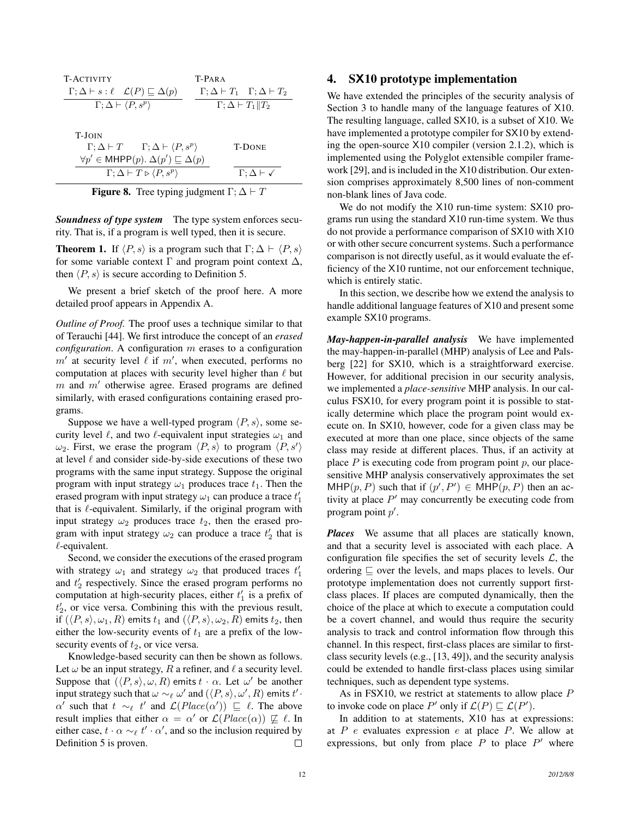| <b>T-ACTIVITY</b>                                                             | T-PARA                                                      |  |  |  |
|-------------------------------------------------------------------------------|-------------------------------------------------------------|--|--|--|
| $\Gamma; \Delta \vdash s : \ell \quad \mathcal{L}(P) \sqsubseteq \Delta(p)$   | $\Gamma; \Delta \vdash T_1 \quad \Gamma; \Delta \vdash T_2$ |  |  |  |
| $\Gamma; \Delta \vdash \langle P, s^p \rangle$                                | $\Gamma$ ; $\Delta \vdash T_1  T_2$                         |  |  |  |
|                                                                               |                                                             |  |  |  |
| <b>T-JOIN</b>                                                                 |                                                             |  |  |  |
| $\Gamma; \Delta \vdash T \qquad \Gamma; \Delta \vdash \langle P, s^p \rangle$ | <b>T-DONE</b>                                               |  |  |  |
| $\forall p' \in \mathsf{MHPP}(p) \ldotp \Delta(p') \sqsubseteq \Delta(p)$     |                                                             |  |  |  |
| $\Gamma; \Delta \vdash T \triangleright \langle P, s^p \rangle$               | $\Gamma: \Delta \vdash \checkmark$                          |  |  |  |
| $\sim$                                                                        | ---                                                         |  |  |  |

**Figure 8.** Tree typing judgment  $\Gamma$ ;  $\Delta \vdash T$ 

*Soundness of type system* The type system enforces security. That is, if a program is well typed, then it is secure.

**Theorem 1.** If  $\langle P, s \rangle$  is a program such that  $\Gamma; \Delta \vdash \langle P, s \rangle$ for some variable context  $\Gamma$  and program point context  $\Delta$ , then  $\langle P, s \rangle$  is secure according to Definition 5.

We present a brief sketch of the proof here. A more detailed proof appears in Appendix A.

*Outline of Proof.* The proof uses a technique similar to that of Terauchi [44]. We first introduce the concept of an *erased configuration*. A configuration  $m$  erases to a configuration  $m'$  at security level  $\ell$  if  $m'$ , when executed, performs no computation at places with security level higher than  $\ell$  but  $m$  and  $m'$  otherwise agree. Erased programs are defined similarly, with erased configurations containing erased programs.

Suppose we have a well-typed program  $\langle P, s \rangle$ , some security level  $\ell$ , and two  $\ell$ -equivalent input strategies  $\omega_1$  and  $\omega_2$ . First, we erase the program  $\langle P, s \rangle$  to program  $\langle P, s' \rangle$ at level  $\ell$  and consider side-by-side executions of these two programs with the same input strategy. Suppose the original program with input strategy  $\omega_1$  produces trace  $t_1$ . Then the erased program with input strategy  $\omega_1$  can produce a trace  $t'_1$ that is  $\ell$ -equivalent. Similarly, if the original program with input strategy  $\omega_2$  produces trace  $t_2$ , then the erased program with input strategy  $\omega_2$  can produce a trace  $t'_2$  that is  $\ell$ -equivalent.

Second, we consider the executions of the erased program with strategy  $\omega_1$  and strategy  $\omega_2$  that produced traces  $t'_1$ and  $t'_2$  respectively. Since the erased program performs no computation at high-security places, either  $t_1$  is a prefix of  $t_2'$ , or vice versa. Combining this with the previous result, if  $(\langle P, s \rangle, \omega_1, R)$  emits  $t_1$  and  $(\langle P, s \rangle, \omega_2, R)$  emits  $t_2$ , then either the low-security events of  $t_1$  are a prefix of the lowsecurity events of  $t_2$ , or vice versa.

Knowledge-based security can then be shown as follows. Let  $\omega$  be an input strategy, R a refiner, and  $\ell$  a security level. Suppose that  $(\langle P, s \rangle, \omega, R)$  emits  $t \cdot \alpha$ . Let  $\omega'$  be another input strategy such that  $\omega \sim_{\ell} \omega'$  and  $(\langle P, s \rangle, \omega', R)$  emits  $t' \cdot$  $\alpha'$  such that  $t \sim_{\ell} t'$  and  $\mathcal{L}(Place(\alpha')) \subseteq \ell$ . The above result implies that either  $\alpha = \alpha'$  or  $\mathcal{L}(Place(\alpha)) \not\sqsubseteq \ell$ . In either case,  $t \cdot \alpha \sim_{\ell} t' \cdot \alpha'$ , and so the inclusion required by Definition 5 is proven. П

# 4. SX10 prototype implementation

We have extended the principles of the security analysis of Section 3 to handle many of the language features of X10. The resulting language, called SX10, is a subset of X10. We have implemented a prototype compiler for SX10 by extending the open-source X10 compiler (version 2.1.2), which is implemented using the Polyglot extensible compiler framework [29], and is included in the X10 distribution. Our extension comprises approximately 8,500 lines of non-comment non-blank lines of Java code.

We do not modify the X10 run-time system: SX10 programs run using the standard X10 run-time system. We thus do not provide a performance comparison of SX10 with X10 or with other secure concurrent systems. Such a performance comparison is not directly useful, as it would evaluate the efficiency of the X10 runtime, not our enforcement technique, which is entirely static.

In this section, we describe how we extend the analysis to handle additional language features of X10 and present some example SX10 programs.

*May-happen-in-parallel analysis* We have implemented the may-happen-in-parallel (MHP) analysis of Lee and Palsberg [22] for SX10, which is a straightforward exercise. However, for additional precision in our security analysis, we implemented a *place-sensitive* MHP analysis. In our calculus FSX10, for every program point it is possible to statically determine which place the program point would execute on. In SX10, however, code for a given class may be executed at more than one place, since objects of the same class may reside at different places. Thus, if an activity at place  $P$  is executing code from program point  $p$ , our placesensitive MHP analysis conservatively approximates the set  $MHP(p, P)$  such that if  $(p', P') \in MHP(p, P)$  then an activity at place  $P'$  may concurrently be executing code from program point  $p'$ .

*Places* We assume that all places are statically known, and that a security level is associated with each place. A configuration file specifies the set of security levels  $\mathcal{L}$ , the ordering  $\sqsubseteq$  over the levels, and maps places to levels. Our prototype implementation does not currently support firstclass places. If places are computed dynamically, then the choice of the place at which to execute a computation could be a covert channel, and would thus require the security analysis to track and control information flow through this channel. In this respect, first-class places are similar to firstclass security levels (e.g., [13, 49]), and the security analysis could be extended to handle first-class places using similar techniques, such as dependent type systems.

As in FSX10, we restrict at statements to allow place  $P$ to invoke code on place P' only if  $\mathcal{L}(P) \sqsubseteq \mathcal{L}(P')$ .

In addition to at statements, X10 has at expressions: at  $P$  e evaluates expression  $e$  at place  $P$ . We allow at expressions, but only from place  $P$  to place  $P'$  where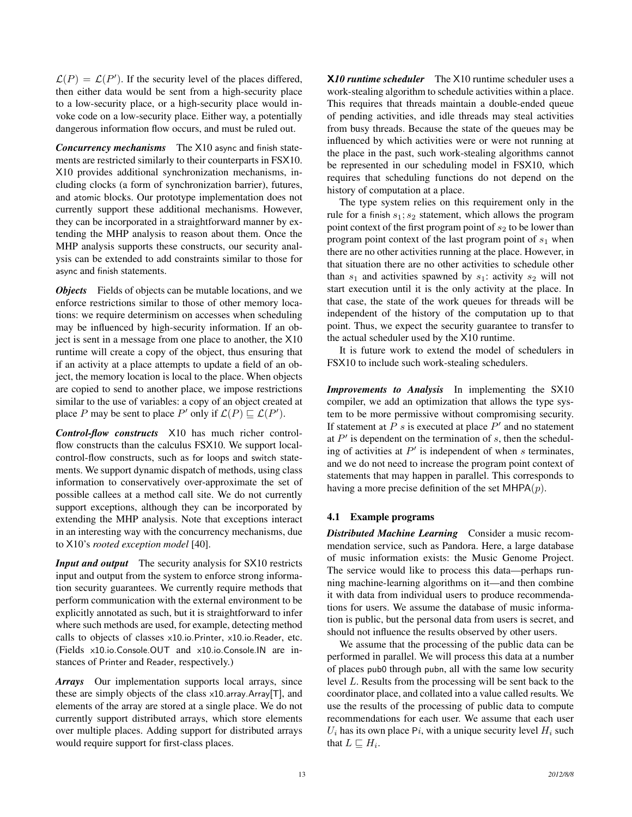$\mathcal{L}(P) = \mathcal{L}(P')$ . If the security level of the places differed, then either data would be sent from a high-security place to a low-security place, or a high-security place would invoke code on a low-security place. Either way, a potentially dangerous information flow occurs, and must be ruled out.

*Concurrency mechanisms* The X10 async and finish statements are restricted similarly to their counterparts in FSX10. X10 provides additional synchronization mechanisms, including clocks (a form of synchronization barrier), futures, and atomic blocks. Our prototype implementation does not currently support these additional mechanisms. However, they can be incorporated in a straightforward manner by extending the MHP analysis to reason about them. Once the MHP analysis supports these constructs, our security analysis can be extended to add constraints similar to those for async and finish statements.

*Objects* Fields of objects can be mutable locations, and we enforce restrictions similar to those of other memory locations: we require determinism on accesses when scheduling may be influenced by high-security information. If an object is sent in a message from one place to another, the X10 runtime will create a copy of the object, thus ensuring that if an activity at a place attempts to update a field of an object, the memory location is local to the place. When objects are copied to send to another place, we impose restrictions similar to the use of variables: a copy of an object created at place P may be sent to place P' only if  $\mathcal{L}(P) \sqsubseteq \mathcal{L}(P')$ .

*Control-flow constructs* X10 has much richer controlflow constructs than the calculus FSX10. We support localcontrol-flow constructs, such as for loops and switch statements. We support dynamic dispatch of methods, using class information to conservatively over-approximate the set of possible callees at a method call site. We do not currently support exceptions, although they can be incorporated by extending the MHP analysis. Note that exceptions interact in an interesting way with the concurrency mechanisms, due to X10's *rooted exception model* [40].

*Input and output* The security analysis for SX10 restricts input and output from the system to enforce strong information security guarantees. We currently require methods that perform communication with the external environment to be explicitly annotated as such, but it is straightforward to infer where such methods are used, for example, detecting method calls to objects of classes x10.io.Printer, x10.io.Reader, etc. (Fields x10.io.Console.OUT and x10.io.Console.IN are instances of Printer and Reader, respectively.)

*Arrays* Our implementation supports local arrays, since these are simply objects of the class x10.array.Array[T], and elements of the array are stored at a single place. We do not currently support distributed arrays, which store elements over multiple places. Adding support for distributed arrays would require support for first-class places.

X*10 runtime scheduler* The X10 runtime scheduler uses a work-stealing algorithm to schedule activities within a place. This requires that threads maintain a double-ended queue of pending activities, and idle threads may steal activities from busy threads. Because the state of the queues may be influenced by which activities were or were not running at the place in the past, such work-stealing algorithms cannot be represented in our scheduling model in FSX10, which requires that scheduling functions do not depend on the history of computation at a place.

The type system relies on this requirement only in the rule for a finish  $s_1$ ;  $s_2$  statement, which allows the program point context of the first program point of  $s_2$  to be lower than program point context of the last program point of  $s_1$  when there are no other activities running at the place. However, in that situation there are no other activities to schedule other than  $s_1$  and activities spawned by  $s_1$ : activity  $s_2$  will not start execution until it is the only activity at the place. In that case, the state of the work queues for threads will be independent of the history of the computation up to that point. Thus, we expect the security guarantee to transfer to the actual scheduler used by the X10 runtime.

It is future work to extend the model of schedulers in FSX10 to include such work-stealing schedulers.

*Improvements to Analysis* In implementing the SX10 compiler, we add an optimization that allows the type system to be more permissive without compromising security. If statement at  $P s$  is executed at place  $P'$  and no statement at  $P'$  is dependent on the termination of  $s$ , then the scheduling of activities at  $P'$  is independent of when  $s$  terminates, and we do not need to increase the program point context of statements that may happen in parallel. This corresponds to having a more precise definition of the set  $MHPA(p)$ .

## 4.1 Example programs

*Distributed Machine Learning* Consider a music recommendation service, such as Pandora. Here, a large database of music information exists: the Music Genome Project. The service would like to process this data—perhaps running machine-learning algorithms on it—and then combine it with data from individual users to produce recommendations for users. We assume the database of music information is public, but the personal data from users is secret, and should not influence the results observed by other users.

We assume that the processing of the public data can be performed in parallel. We will process this data at a number of places pub0 through pubn, all with the same low security level L. Results from the processing will be sent back to the coordinator place, and collated into a value called results. We use the results of the processing of public data to compute recommendations for each user. We assume that each user  $U_i$  has its own place Pi, with a unique security level  $H_i$  such that  $L \sqsubseteq H_i$ .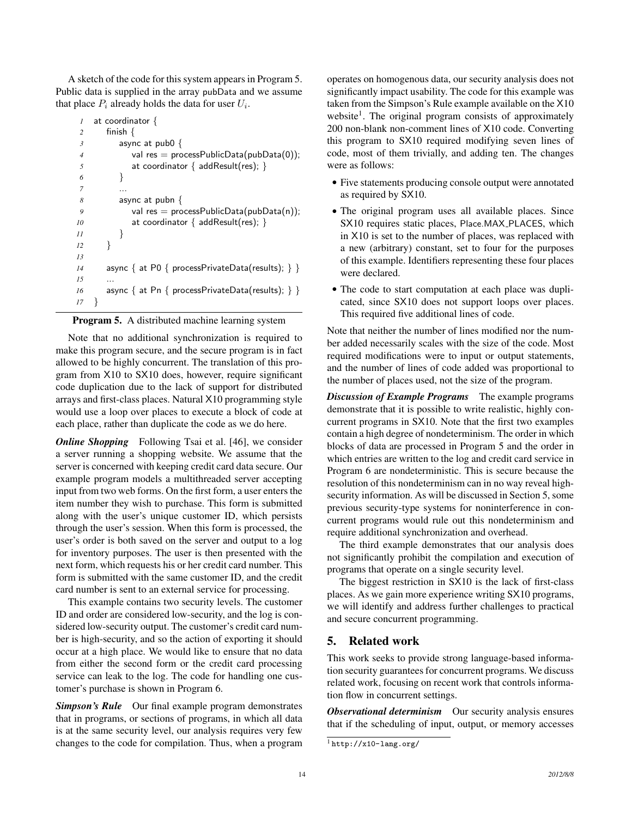A sketch of the code for this system appears in Program 5. Public data is supplied in the array pubData and we assume that place  $P_i$  already holds the data for user  $U_i$ .

```
1 at coordinator {
2 finish {
3 async at pub0 {
4 val res = processPublicData(pubData(0));
5 at coordinator { addResult(res); }
6 }
7 ...
8 async at pubn {
9 val res = processPublicData(pubData(n));
10 at coordinator { addResult(res); }
11 }
12 }
13
14 async { at P0 { processPrivateData(results); } }
15 ...
16 async { at Pn { processPrivateData(results); } }
17 }
```
Program 5. A distributed machine learning system

Note that no additional synchronization is required to make this program secure, and the secure program is in fact allowed to be highly concurrent. The translation of this program from X10 to SX10 does, however, require significant code duplication due to the lack of support for distributed arrays and first-class places. Natural X10 programming style would use a loop over places to execute a block of code at each place, rather than duplicate the code as we do here.

*Online Shopping* Following Tsai et al. [46], we consider a server running a shopping website. We assume that the server is concerned with keeping credit card data secure. Our example program models a multithreaded server accepting input from two web forms. On the first form, a user enters the item number they wish to purchase. This form is submitted along with the user's unique customer ID, which persists through the user's session. When this form is processed, the user's order is both saved on the server and output to a log for inventory purposes. The user is then presented with the next form, which requests his or her credit card number. This form is submitted with the same customer ID, and the credit card number is sent to an external service for processing.

This example contains two security levels. The customer ID and order are considered low-security, and the log is considered low-security output. The customer's credit card number is high-security, and so the action of exporting it should occur at a high place. We would like to ensure that no data from either the second form or the credit card processing service can leak to the log. The code for handling one customer's purchase is shown in Program 6.

*Simpson's Rule* Our final example program demonstrates that in programs, or sections of programs, in which all data is at the same security level, our analysis requires very few changes to the code for compilation. Thus, when a program operates on homogenous data, our security analysis does not significantly impact usability. The code for this example was taken from the Simpson's Rule example available on the X10 website<sup>1</sup>. The original program consists of approximately 200 non-blank non-comment lines of X10 code. Converting this program to SX10 required modifying seven lines of code, most of them trivially, and adding ten. The changes were as follows:

- Five statements producing console output were annotated as required by SX10.
- The original program uses all available places. Since SX10 requires static places, Place.MAX PLACES, which in X10 is set to the number of places, was replaced with a new (arbitrary) constant, set to four for the purposes of this example. Identifiers representing these four places were declared.
- The code to start computation at each place was duplicated, since SX10 does not support loops over places. This required five additional lines of code.

Note that neither the number of lines modified nor the number added necessarily scales with the size of the code. Most required modifications were to input or output statements, and the number of lines of code added was proportional to the number of places used, not the size of the program.

*Discussion of Example Programs* The example programs demonstrate that it is possible to write realistic, highly concurrent programs in SX10. Note that the first two examples contain a high degree of nondeterminism. The order in which blocks of data are processed in Program 5 and the order in which entries are written to the log and credit card service in Program 6 are nondeterministic. This is secure because the resolution of this nondeterminism can in no way reveal highsecurity information. As will be discussed in Section 5, some previous security-type systems for noninterference in concurrent programs would rule out this nondeterminism and require additional synchronization and overhead.

The third example demonstrates that our analysis does not significantly prohibit the compilation and execution of programs that operate on a single security level.

The biggest restriction in SX10 is the lack of first-class places. As we gain more experience writing SX10 programs, we will identify and address further challenges to practical and secure concurrent programming.

# 5. Related work

This work seeks to provide strong language-based information security guarantees for concurrent programs. We discuss related work, focusing on recent work that controls information flow in concurrent settings.

*Observational determinism* Our security analysis ensures that if the scheduling of input, output, or memory accesses

<sup>1</sup> http://x10-lang.org/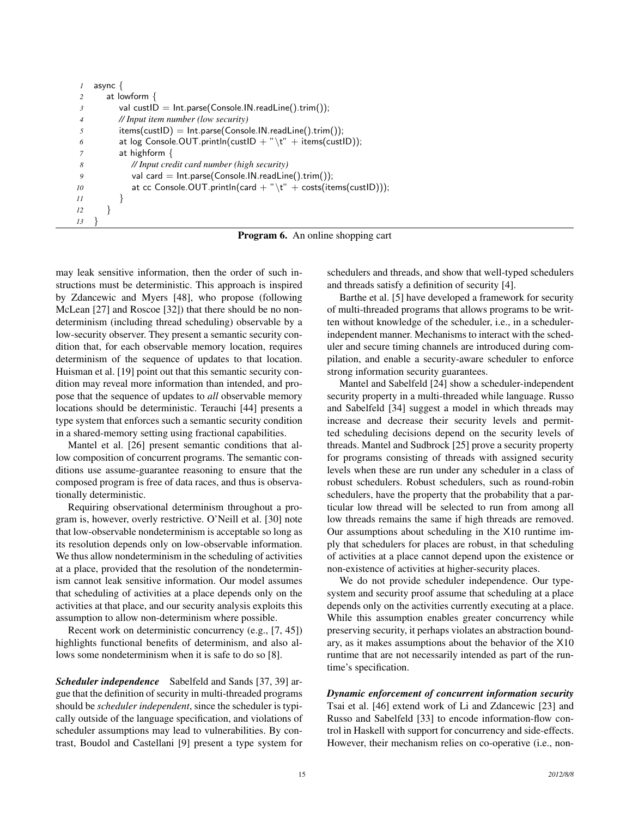| 1  | async                                                                |
|----|----------------------------------------------------------------------|
| 2  | at lowform $\{$                                                      |
| 3  | val custID = $Int.parse(Console.IN.readLine().trim());$              |
| 4  | // Input item number (low security)                                  |
| 5  | $items(custID) = Int.parse(Console.IN.readLine().trim());$           |
| 6  | at log Console.OUT.println(custID + " $\t t$ " + items(custID));     |
| 7  | at highform $\{$                                                     |
| 8  | // Input credit card number (high security)                          |
| 9  | val card = $Int.parse(Console.IN.readLine().trim());$                |
| 10 | at cc Console.OUT.println(card + " $\t t$ " + costs(items(custID))); |
| 11 |                                                                      |
| 12 |                                                                      |
| 13 |                                                                      |

Program 6. An online shopping cart

may leak sensitive information, then the order of such instructions must be deterministic. This approach is inspired by Zdancewic and Myers [48], who propose (following McLean [27] and Roscoe [32]) that there should be no nondeterminism (including thread scheduling) observable by a low-security observer. They present a semantic security condition that, for each observable memory location, requires determinism of the sequence of updates to that location. Huisman et al. [19] point out that this semantic security condition may reveal more information than intended, and propose that the sequence of updates to *all* observable memory locations should be deterministic. Terauchi [44] presents a type system that enforces such a semantic security condition in a shared-memory setting using fractional capabilities.

Mantel et al. [26] present semantic conditions that allow composition of concurrent programs. The semantic conditions use assume-guarantee reasoning to ensure that the composed program is free of data races, and thus is observationally deterministic.

Requiring observational determinism throughout a program is, however, overly restrictive. O'Neill et al. [30] note that low-observable nondeterminism is acceptable so long as its resolution depends only on low-observable information. We thus allow nondeterminism in the scheduling of activities at a place, provided that the resolution of the nondeterminism cannot leak sensitive information. Our model assumes that scheduling of activities at a place depends only on the activities at that place, and our security analysis exploits this assumption to allow non-determinism where possible.

Recent work on deterministic concurrency (e.g., [7, 45]) highlights functional benefits of determinism, and also allows some nondeterminism when it is safe to do so [8].

*Scheduler independence* Sabelfeld and Sands [37, 39] argue that the definition of security in multi-threaded programs should be *scheduler independent*, since the scheduler is typically outside of the language specification, and violations of scheduler assumptions may lead to vulnerabilities. By contrast, Boudol and Castellani [9] present a type system for schedulers and threads, and show that well-typed schedulers and threads satisfy a definition of security [4].

Barthe et al. [5] have developed a framework for security of multi-threaded programs that allows programs to be written without knowledge of the scheduler, i.e., in a schedulerindependent manner. Mechanisms to interact with the scheduler and secure timing channels are introduced during compilation, and enable a security-aware scheduler to enforce strong information security guarantees.

Mantel and Sabelfeld [24] show a scheduler-independent security property in a multi-threaded while language. Russo and Sabelfeld [34] suggest a model in which threads may increase and decrease their security levels and permitted scheduling decisions depend on the security levels of threads. Mantel and Sudbrock [25] prove a security property for programs consisting of threads with assigned security levels when these are run under any scheduler in a class of robust schedulers. Robust schedulers, such as round-robin schedulers, have the property that the probability that a particular low thread will be selected to run from among all low threads remains the same if high threads are removed. Our assumptions about scheduling in the X10 runtime imply that schedulers for places are robust, in that scheduling of activities at a place cannot depend upon the existence or non-existence of activities at higher-security places.

We do not provide scheduler independence. Our typesystem and security proof assume that scheduling at a place depends only on the activities currently executing at a place. While this assumption enables greater concurrency while preserving security, it perhaps violates an abstraction boundary, as it makes assumptions about the behavior of the X10 runtime that are not necessarily intended as part of the runtime's specification.

*Dynamic enforcement of concurrent information security* Tsai et al. [46] extend work of Li and Zdancewic [23] and Russo and Sabelfeld [33] to encode information-flow control in Haskell with support for concurrency and side-effects. However, their mechanism relies on co-operative (i.e., non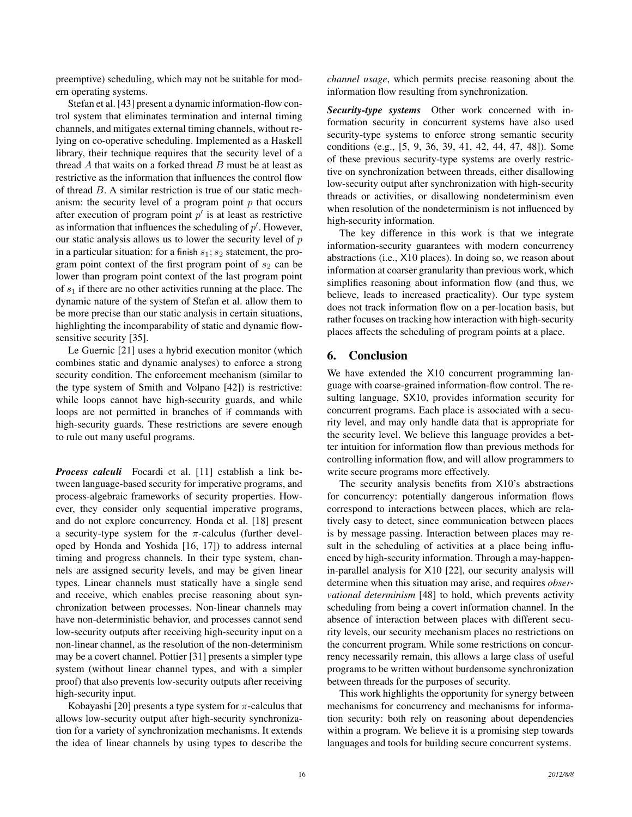preemptive) scheduling, which may not be suitable for modern operating systems.

Stefan et al. [43] present a dynamic information-flow control system that eliminates termination and internal timing channels, and mitigates external timing channels, without relying on co-operative scheduling. Implemented as a Haskell library, their technique requires that the security level of a thread  $A$  that waits on a forked thread  $B$  must be at least as restrictive as the information that influences the control flow of thread B. A similar restriction is true of our static mechanism: the security level of a program point  $p$  that occurs after execution of program point  $p'$  is at least as restrictive as information that influences the scheduling of  $p'$ . However, our static analysis allows us to lower the security level of  $p$ in a particular situation: for a finish  $s_1$ ;  $s_2$  statement, the program point context of the first program point of  $s_2$  can be lower than program point context of the last program point of  $s_1$  if there are no other activities running at the place. The dynamic nature of the system of Stefan et al. allow them to be more precise than our static analysis in certain situations, highlighting the incomparability of static and dynamic flowsensitive security [35].

Le Guernic [21] uses a hybrid execution monitor (which combines static and dynamic analyses) to enforce a strong security condition. The enforcement mechanism (similar to the type system of Smith and Volpano [42]) is restrictive: while loops cannot have high-security guards, and while loops are not permitted in branches of if commands with high-security guards. These restrictions are severe enough to rule out many useful programs.

*Process calculi* Focardi et al. [11] establish a link between language-based security for imperative programs, and process-algebraic frameworks of security properties. However, they consider only sequential imperative programs, and do not explore concurrency. Honda et al. [18] present a security-type system for the  $\pi$ -calculus (further developed by Honda and Yoshida [16, 17]) to address internal timing and progress channels. In their type system, channels are assigned security levels, and may be given linear types. Linear channels must statically have a single send and receive, which enables precise reasoning about synchronization between processes. Non-linear channels may have non-deterministic behavior, and processes cannot send low-security outputs after receiving high-security input on a non-linear channel, as the resolution of the non-determinism may be a covert channel. Pottier [31] presents a simpler type system (without linear channel types, and with a simpler proof) that also prevents low-security outputs after receiving high-security input.

Kobayashi [20] presents a type system for  $\pi$ -calculus that allows low-security output after high-security synchronization for a variety of synchronization mechanisms. It extends the idea of linear channels by using types to describe the *channel usage*, which permits precise reasoning about the information flow resulting from synchronization.

*Security-type systems* Other work concerned with information security in concurrent systems have also used security-type systems to enforce strong semantic security conditions (e.g., [5, 9, 36, 39, 41, 42, 44, 47, 48]). Some of these previous security-type systems are overly restrictive on synchronization between threads, either disallowing low-security output after synchronization with high-security threads or activities, or disallowing nondeterminism even when resolution of the nondeterminism is not influenced by high-security information.

The key difference in this work is that we integrate information-security guarantees with modern concurrency abstractions (i.e., X10 places). In doing so, we reason about information at coarser granularity than previous work, which simplifies reasoning about information flow (and thus, we believe, leads to increased practicality). Our type system does not track information flow on a per-location basis, but rather focuses on tracking how interaction with high-security places affects the scheduling of program points at a place.

# 6. Conclusion

We have extended the X10 concurrent programming language with coarse-grained information-flow control. The resulting language, SX10, provides information security for concurrent programs. Each place is associated with a security level, and may only handle data that is appropriate for the security level. We believe this language provides a better intuition for information flow than previous methods for controlling information flow, and will allow programmers to write secure programs more effectively.

The security analysis benefits from X10's abstractions for concurrency: potentially dangerous information flows correspond to interactions between places, which are relatively easy to detect, since communication between places is by message passing. Interaction between places may result in the scheduling of activities at a place being influenced by high-security information. Through a may-happenin-parallel analysis for X10 [22], our security analysis will determine when this situation may arise, and requires *observational determinism* [48] to hold, which prevents activity scheduling from being a covert information channel. In the absence of interaction between places with different security levels, our security mechanism places no restrictions on the concurrent program. While some restrictions on concurrency necessarily remain, this allows a large class of useful programs to be written without burdensome synchronization between threads for the purposes of security.

This work highlights the opportunity for synergy between mechanisms for concurrency and mechanisms for information security: both rely on reasoning about dependencies within a program. We believe it is a promising step towards languages and tools for building secure concurrent systems.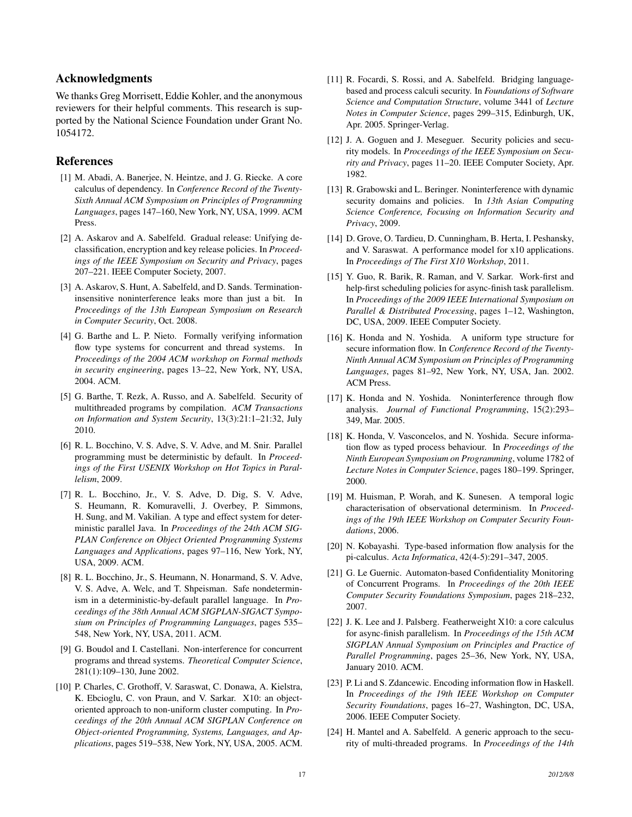# Acknowledgments

We thanks Greg Morrisett, Eddie Kohler, and the anonymous reviewers for their helpful comments. This research is supported by the National Science Foundation under Grant No. 1054172.

## References

- [1] M. Abadi, A. Banerjee, N. Heintze, and J. G. Riecke. A core calculus of dependency. In *Conference Record of the Twenty-Sixth Annual ACM Symposium on Principles of Programming Languages*, pages 147–160, New York, NY, USA, 1999. ACM Press.
- [2] A. Askarov and A. Sabelfeld. Gradual release: Unifying declassification, encryption and key release policies. In *Proceedings of the IEEE Symposium on Security and Privacy*, pages 207–221. IEEE Computer Society, 2007.
- [3] A. Askarov, S. Hunt, A. Sabelfeld, and D. Sands. Terminationinsensitive noninterference leaks more than just a bit. In *Proceedings of the 13th European Symposium on Research in Computer Security*, Oct. 2008.
- [4] G. Barthe and L. P. Nieto. Formally verifying information flow type systems for concurrent and thread systems. In *Proceedings of the 2004 ACM workshop on Formal methods in security engineering*, pages 13–22, New York, NY, USA, 2004. ACM.
- [5] G. Barthe, T. Rezk, A. Russo, and A. Sabelfeld. Security of multithreaded programs by compilation. *ACM Transactions on Information and System Security*, 13(3):21:1–21:32, July 2010.
- [6] R. L. Bocchino, V. S. Adve, S. V. Adve, and M. Snir. Parallel programming must be deterministic by default. In *Proceedings of the First USENIX Workshop on Hot Topics in Parallelism*, 2009.
- [7] R. L. Bocchino, Jr., V. S. Adve, D. Dig, S. V. Adve, S. Heumann, R. Komuravelli, J. Overbey, P. Simmons, H. Sung, and M. Vakilian. A type and effect system for deterministic parallel Java. In *Proceedings of the 24th ACM SIG-PLAN Conference on Object Oriented Programming Systems Languages and Applications*, pages 97–116, New York, NY, USA, 2009. ACM.
- [8] R. L. Bocchino, Jr., S. Heumann, N. Honarmand, S. V. Adve, V. S. Adve, A. Welc, and T. Shpeisman. Safe nondeterminism in a deterministic-by-default parallel language. In *Proceedings of the 38th Annual ACM SIGPLAN-SIGACT Symposium on Principles of Programming Languages*, pages 535– 548, New York, NY, USA, 2011. ACM.
- [9] G. Boudol and I. Castellani. Non-interference for concurrent programs and thread systems. *Theoretical Computer Science*, 281(1):109–130, June 2002.
- [10] P. Charles, C. Grothoff, V. Saraswat, C. Donawa, A. Kielstra, K. Ebcioglu, C. von Praun, and V. Sarkar. X10: an objectoriented approach to non-uniform cluster computing. In *Proceedings of the 20th Annual ACM SIGPLAN Conference on Object-oriented Programming, Systems, Languages, and Applications*, pages 519–538, New York, NY, USA, 2005. ACM.
- [11] R. Focardi, S. Rossi, and A. Sabelfeld. Bridging languagebased and process calculi security. In *Foundations of Software Science and Computation Structure*, volume 3441 of *Lecture Notes in Computer Science*, pages 299–315, Edinburgh, UK, Apr. 2005. Springer-Verlag.
- [12] J. A. Goguen and J. Meseguer. Security policies and security models. In *Proceedings of the IEEE Symposium on Security and Privacy*, pages 11–20. IEEE Computer Society, Apr. 1982.
- [13] R. Grabowski and L. Beringer. Noninterference with dynamic security domains and policies. In *13th Asian Computing Science Conference, Focusing on Information Security and Privacy*, 2009.
- [14] D. Grove, O. Tardieu, D. Cunningham, B. Herta, I. Peshansky, and V. Saraswat. A performance model for x10 applications. In *Proceedings of The First X10 Workshop*, 2011.
- [15] Y. Guo, R. Barik, R. Raman, and V. Sarkar. Work-first and help-first scheduling policies for async-finish task parallelism. In *Proceedings of the 2009 IEEE International Symposium on Parallel & Distributed Processing*, pages 1–12, Washington, DC, USA, 2009. IEEE Computer Society.
- [16] K. Honda and N. Yoshida. A uniform type structure for secure information flow. In *Conference Record of the Twenty-Ninth Annual ACM Symposium on Principles of Programming Languages*, pages 81–92, New York, NY, USA, Jan. 2002. ACM Press.
- [17] K. Honda and N. Yoshida. Noninterference through flow analysis. *Journal of Functional Programming*, 15(2):293– 349, Mar. 2005.
- [18] K. Honda, V. Vasconcelos, and N. Yoshida. Secure information flow as typed process behaviour. In *Proceedings of the Ninth European Symposium on Programming*, volume 1782 of *Lecture Notes in Computer Science*, pages 180–199. Springer, 2000.
- [19] M. Huisman, P. Worah, and K. Sunesen. A temporal logic characterisation of observational determinism. In *Proceedings of the 19th IEEE Workshop on Computer Security Foundations*, 2006.
- [20] N. Kobayashi. Type-based information flow analysis for the pi-calculus. *Acta Informatica*, 42(4-5):291–347, 2005.
- [21] G. Le Guernic. Automaton-based Confidentiality Monitoring of Concurrent Programs. In *Proceedings of the 20th IEEE Computer Security Foundations Symposium*, pages 218–232, 2007.
- [22] J. K. Lee and J. Palsberg. Featherweight X10: a core calculus for async-finish parallelism. In *Proceedings of the 15th ACM SIGPLAN Annual Symposium on Principles and Practice of Parallel Programming*, pages 25–36, New York, NY, USA, January 2010. ACM.
- [23] P. Li and S. Zdancewic. Encoding information flow in Haskell. In *Proceedings of the 19th IEEE Workshop on Computer Security Foundations*, pages 16–27, Washington, DC, USA, 2006. IEEE Computer Society.
- [24] H. Mantel and A. Sabelfeld. A generic approach to the security of multi-threaded programs. In *Proceedings of the 14th*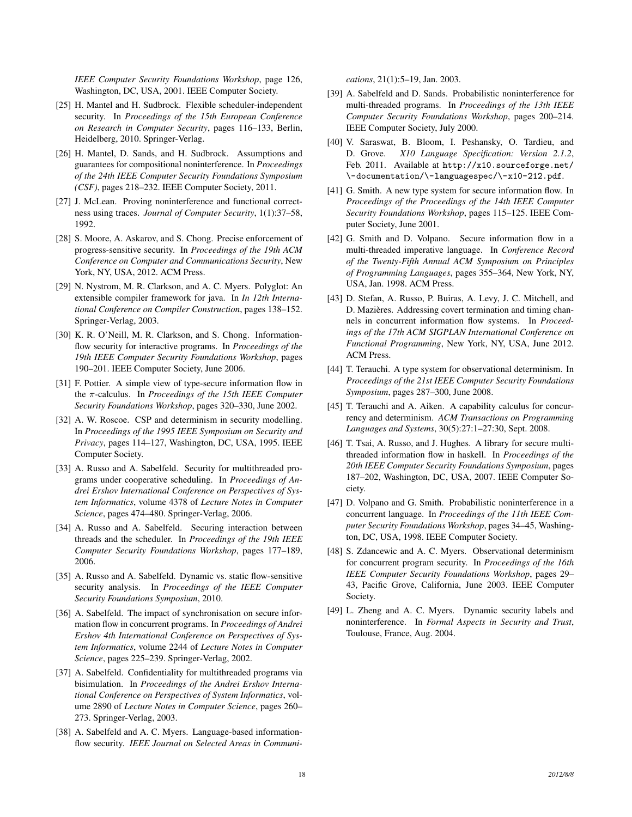*IEEE Computer Security Foundations Workshop*, page 126, Washington, DC, USA, 2001. IEEE Computer Society.

- [25] H. Mantel and H. Sudbrock. Flexible scheduler-independent security. In *Proceedings of the 15th European Conference on Research in Computer Security*, pages 116–133, Berlin, Heidelberg, 2010. Springer-Verlag.
- [26] H. Mantel, D. Sands, and H. Sudbrock. Assumptions and guarantees for compositional noninterference. In *Proceedings of the 24th IEEE Computer Security Foundations Symposium (CSF)*, pages 218–232. IEEE Computer Society, 2011.
- [27] J. McLean. Proving noninterference and functional correctness using traces. *Journal of Computer Security*, 1(1):37–58, 1992.
- [28] S. Moore, A. Askarov, and S. Chong. Precise enforcement of progress-sensitive security. In *Proceedings of the 19th ACM Conference on Computer and Communications Security*, New York, NY, USA, 2012. ACM Press.
- [29] N. Nystrom, M. R. Clarkson, and A. C. Myers. Polyglot: An extensible compiler framework for java. In *In 12th International Conference on Compiler Construction*, pages 138–152. Springer-Verlag, 2003.
- [30] K. R. O'Neill, M. R. Clarkson, and S. Chong. Informationflow security for interactive programs. In *Proceedings of the 19th IEEE Computer Security Foundations Workshop*, pages 190–201. IEEE Computer Society, June 2006.
- [31] F. Pottier. A simple view of type-secure information flow in the π-calculus. In *Proceedings of the 15th IEEE Computer Security Foundations Workshop*, pages 320–330, June 2002.
- [32] A. W. Roscoe. CSP and determinism in security modelling. In *Proceedings of the 1995 IEEE Symposium on Security and Privacy*, pages 114–127, Washington, DC, USA, 1995. IEEE Computer Society.
- [33] A. Russo and A. Sabelfeld. Security for multithreaded programs under cooperative scheduling. In *Proceedings of Andrei Ershov International Conference on Perspectives of System Informatics*, volume 4378 of *Lecture Notes in Computer Science*, pages 474–480. Springer-Verlag, 2006.
- [34] A. Russo and A. Sabelfeld. Securing interaction between threads and the scheduler. In *Proceedings of the 19th IEEE Computer Security Foundations Workshop*, pages 177–189, 2006.
- [35] A. Russo and A. Sabelfeld. Dynamic vs. static flow-sensitive security analysis. In *Proceedings of the IEEE Computer Security Foundations Symposium*, 2010.
- [36] A. Sabelfeld. The impact of synchronisation on secure information flow in concurrent programs. In *Proceedings of Andrei Ershov 4th International Conference on Perspectives of System Informatics*, volume 2244 of *Lecture Notes in Computer Science*, pages 225–239. Springer-Verlag, 2002.
- [37] A. Sabelfeld. Confidentiality for multithreaded programs via bisimulation. In *Proceedings of the Andrei Ershov International Conference on Perspectives of System Informatics*, volume 2890 of *Lecture Notes in Computer Science*, pages 260– 273. Springer-Verlag, 2003.
- [38] A. Sabelfeld and A. C. Myers. Language-based informationflow security. *IEEE Journal on Selected Areas in Communi-*

*cations*, 21(1):5–19, Jan. 2003.

- [39] A. Sabelfeld and D. Sands. Probabilistic noninterference for multi-threaded programs. In *Proceedings of the 13th IEEE Computer Security Foundations Workshop*, pages 200–214. IEEE Computer Society, July 2000.
- [40] V. Saraswat, B. Bloom, I. Peshansky, O. Tardieu, and D. Grove. *X10 Language Specification: Version 2.1.2*, Feb. 2011. Available at http://x10.sourceforge.net/ \-documentation/\-languagespec/\-x10-212.pdf.
- [41] G. Smith. A new type system for secure information flow. In *Proceedings of the Proceedings of the 14th IEEE Computer Security Foundations Workshop*, pages 115–125. IEEE Computer Society, June 2001.
- [42] G. Smith and D. Volpano. Secure information flow in a multi-threaded imperative language. In *Conference Record of the Twenty-Fifth Annual ACM Symposium on Principles of Programming Languages*, pages 355–364, New York, NY, USA, Jan. 1998. ACM Press.
- [43] D. Stefan, A. Russo, P. Buiras, A. Levy, J. C. Mitchell, and D. Mazières. Addressing covert termination and timing channels in concurrent information flow systems. In *Proceedings of the 17th ACM SIGPLAN International Conference on Functional Programming*, New York, NY, USA, June 2012. ACM Press.
- [44] T. Terauchi. A type system for observational determinism. In *Proceedings of the 21st IEEE Computer Security Foundations Symposium*, pages 287–300, June 2008.
- [45] T. Terauchi and A. Aiken. A capability calculus for concurrency and determinism. *ACM Transactions on Programming Languages and Systems*, 30(5):27:1–27:30, Sept. 2008.
- [46] T. Tsai, A. Russo, and J. Hughes. A library for secure multithreaded information flow in haskell. In *Proceedings of the 20th IEEE Computer Security Foundations Symposium*, pages 187–202, Washington, DC, USA, 2007. IEEE Computer Society.
- [47] D. Volpano and G. Smith. Probabilistic noninterference in a concurrent language. In *Proceedings of the 11th IEEE Computer Security Foundations Workshop*, pages 34–45, Washington, DC, USA, 1998. IEEE Computer Society.
- [48] S. Zdancewic and A. C. Myers. Observational determinism for concurrent program security. In *Proceedings of the 16th IEEE Computer Security Foundations Workshop*, pages 29– 43, Pacific Grove, California, June 2003. IEEE Computer Society.
- [49] L. Zheng and A. C. Myers. Dynamic security labels and noninterference. In *Formal Aspects in Security and Trust*, Toulouse, France, Aug. 2004.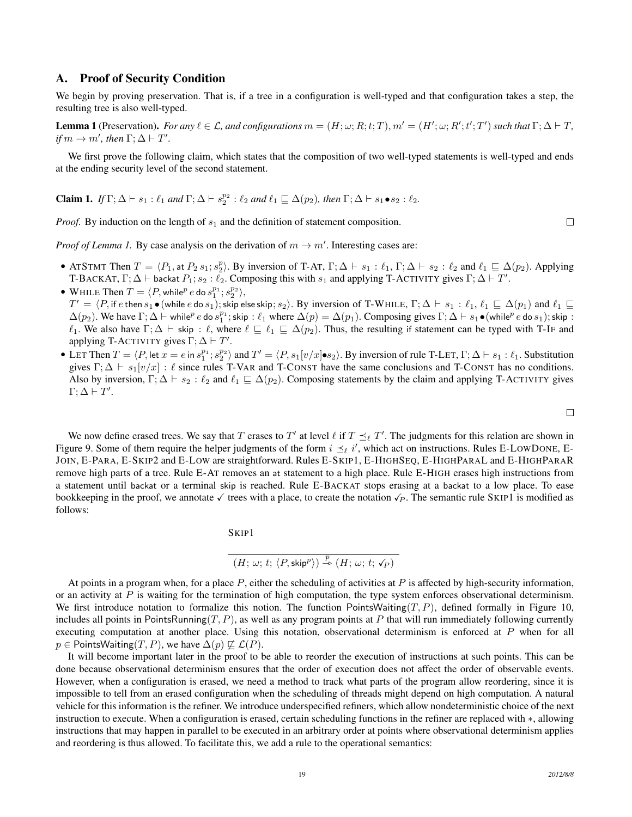## A. Proof of Security Condition

We begin by proving preservation. That is, if a tree in a configuration is well-typed and that configuration takes a step, the resulting tree is also well-typed.

**Lemma 1** (Preservation). For any  $\ell \in \mathcal{L}$ , and configurations  $m = (H; \omega; R; t; T), m' = (H'; \omega; R'; t'; T')$  such that  $\Gamma; \Delta \vdash T$ , *if*  $m \to m'$ , then  $\Gamma; \Delta \vdash T'$ .

We first prove the following claim, which states that the composition of two well-typed statements is well-typed and ends at the ending security level of the second statement.

**Claim 1.** *If*  $\Gamma; \Delta \vdash s_1 : \ell_1$  *and*  $\Gamma; \Delta \vdash s_2^{p_2} : \ell_2$  *and*  $\ell_1 \sqsubseteq \Delta(p_2)$ *, then*  $\Gamma; \Delta \vdash s_1 \bullet s_2 : \ell_2$ *.* 

*Proof.* By induction on the length of  $s_1$  and the definition of statement composition.

*Proof of Lemma 1.* By case analysis on the derivation of  $m \to m'$ . Interesting cases are:

• ATSTMT Then  $T = \langle P_1, \text{at } P_2 \, s_1; s_2^p \rangle$ . By inversion of T-AT,  $\Gamma; \Delta \vdash s_1 : \ell_1, \Gamma; \Delta \vdash s_2 : \ell_2$  and  $\ell_1 \sqsubseteq \Delta(p_2)$ . Applying T-BACKAT,  $\Gamma; \Delta \vdash$  backat  $P_1; s_2 : \ell_2$ . Composing this with  $s_1$  and applying T-ACTIVITY gives  $\Gamma; \Delta \vdash T'$ .

• WHILE Then  $T = \langle P$ , while<sup>p</sup> e do  $s_1^{p_1}; s_2^{p_2} \rangle$ ,  $T'=\langle P,$  if  $e$  then  $s_1\bullet$  (while  $e$  do  $s_1);$  skip else skip;  $s_2\rangle.$  By inversion of T-WHILE,  $\Gamma; \Delta \vdash s_1 : \ell_1, \ell_1 \sqsubseteq \Delta(p_1)$  and  $\ell_1 \sqsubseteq$  $\Delta(p_2)$ . We have  $\Gamma; \Delta \vdash$  while<sup>p</sup> e do  $s_1^{p_1}$ ; skip :  $\ell_1$  where  $\Delta(p) = \Delta(p_1)$ . Composing gives  $\Gamma; \Delta \vdash s_1 \bullet$  (while<sup>p</sup> e do s<sub>1</sub>); skip :  $\ell_1$ . We also have  $\Gamma; \Delta \vdash$  skip :  $\ell$ , where  $\ell \sqsubseteq \ell_1 \sqsubseteq \Delta(p_2)$ . Thus, the resulting if statement can be typed with T-IF and applying T-ACTIVITY gives  $\Gamma; \Delta \vdash T'.$ 

• LET Then  $T = \langle P, \text{let } x = e \text{ in } s_1^{p_1} ; s_2^{p_2} \rangle$  and  $T' = \langle P, s_1[v/x] \bullet s_2 \rangle$ . By inversion of rule T-LET,  $\Gamma; \Delta \vdash s_1 : \ell_1$ . Substitution gives  $\Gamma$ ;  $\Delta \vdash s_1[v/x]$  :  $\ell$  since rules T-VAR and T-CONST have the same conclusions and T-CONST has no conditions. Also by inversion,  $\Gamma; \Delta \vdash s_2 : \ell_2$  and  $\ell_1 \sqsubseteq \Delta(p_2)$ . Composing statements by the claim and applying T-ACTIVITY gives  $\Gamma; \Delta \vdash T'.$ 

We now define erased trees. We say that T erases to T' at level  $\ell$  if  $T \preceq_{\ell} T'$ . The judgments for this relation are shown in Figure 9. Some of them require the helper judgments of the form  $i \preceq_{\ell} i'$ , which act on instructions. Rules E-LOWDONE, E-JOIN, E-PARA, E-SKIP2 and E-LOW are straightforward. Rules E-SKIP1, E-HIGHSEQ, E-HIGHPARAL and E-HIGHPARAR remove high parts of a tree. Rule E-AT removes an at statement to a high place. Rule E-HIGH erases high instructions from a statement until backat or a terminal skip is reached. Rule E-BACKAT stops erasing at a backat to a low place. To ease bookkeeping in the proof, we annotate  $\sqrt{ }$  trees with a place, to create the notation  $\sqrt{P}$ . The semantic rule SKIP1 is modified as follows:

#### SKIP1

$$
(H;\,\omega;\,t;\,\langle P,\mathrm{skip}^p\rangle)\stackrel{p}{\twoheadrightarrow}(H;\,\omega;\,t;\,\sqrt{p})
$$

At points in a program when, for a place  $P$ , either the scheduling of activities at  $P$  is affected by high-security information, or an activity at  $P$  is waiting for the termination of high computation, the type system enforces observational determinism. We first introduce notation to formalize this notion. The function PointsWaiting(T, P), defined formally in Figure 10, includes all points in PointsRunning(T, P), as well as any program points at P that will run immediately following currently executing computation at another place. Using this notation, observational determinism is enforced at  $P$  when for all  $p \in$  PointsWaiting(T, P), we have  $\Delta(p) \not\sqsubseteq \mathcal{L}(P)$ .

It will become important later in the proof to be able to reorder the execution of instructions at such points. This can be done because observational determinism ensures that the order of execution does not affect the order of observable events. However, when a configuration is erased, we need a method to track what parts of the program allow reordering, since it is impossible to tell from an erased configuration when the scheduling of threads might depend on high computation. A natural vehicle for this information is the refiner. We introduce underspecified refiners, which allow nondeterministic choice of the next instruction to execute. When a configuration is erased, certain scheduling functions in the refiner are replaced with ∗, allowing instructions that may happen in parallel to be executed in an arbitrary order at points where observational determinism applies and reordering is thus allowed. To facilitate this, we add a rule to the operational semantics:

 $\Box$ 

 $\Box$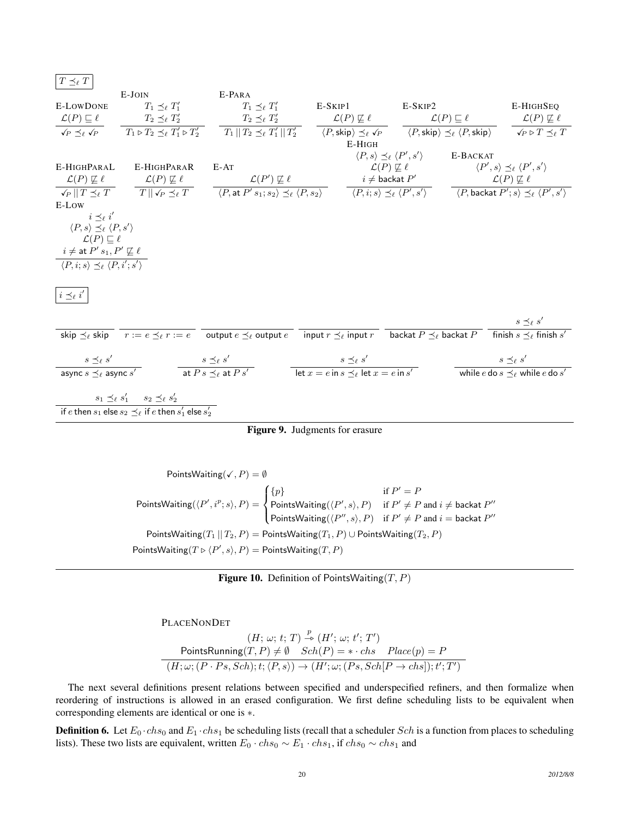| $T \preceq_{\ell} T$                                                                           |                                                                                                                                                                                                                                                                                                                                                                                                                                                                                                    |                                                                                                |                                                                                                                                                                                                                                                                                                                                                                                   |        |           |                                                                       |                                                                                                               |  |
|------------------------------------------------------------------------------------------------|----------------------------------------------------------------------------------------------------------------------------------------------------------------------------------------------------------------------------------------------------------------------------------------------------------------------------------------------------------------------------------------------------------------------------------------------------------------------------------------------------|------------------------------------------------------------------------------------------------|-----------------------------------------------------------------------------------------------------------------------------------------------------------------------------------------------------------------------------------------------------------------------------------------------------------------------------------------------------------------------------------|--------|-----------|-----------------------------------------------------------------------|---------------------------------------------------------------------------------------------------------------|--|
|                                                                                                | E-JOIN                                                                                                                                                                                                                                                                                                                                                                                                                                                                                             | E-PARA                                                                                         |                                                                                                                                                                                                                                                                                                                                                                                   |        |           |                                                                       |                                                                                                               |  |
| <b>E-LOWDONE</b>                                                                               |                                                                                                                                                                                                                                                                                                                                                                                                                                                                                                    | $T_1 \preceq_{\ell} T_1'$ $T_1 \preceq_{\ell} T_1'$ E-SKIP1                                    |                                                                                                                                                                                                                                                                                                                                                                                   |        | $E-SKIP2$ |                                                                       | E-HIGHSEQ                                                                                                     |  |
|                                                                                                | $\frac{\mathcal{L}(P) \sqsubseteq \ell}{\sqrt{P \preceq_{\ell} \sqrt{P}}} \quad \frac{T_2 \preceq_{\ell} T_2'}{T_1 \triangleright T_2 \preceq_{\ell} T_1' \triangleright T_2'} \quad \frac{T_2 \preceq_{\ell} T_2'}{T_1 \  T_2 \preceq_{\ell} T_1' \  T_2'} \quad \frac{\mathcal{L}(P) \sqsubseteq \ell}{\langle P, \text{skip} \rangle \preceq_{\ell} \sqrt{P}} \quad \frac{\mathcal{L}(P) \sqsubseteq \ell}{\langle P, \text{skip} \rangle \preceq_{\ell} \langle P, \text{skip} \rangle} \quad$ |                                                                                                |                                                                                                                                                                                                                                                                                                                                                                                   |        |           |                                                                       |                                                                                                               |  |
|                                                                                                |                                                                                                                                                                                                                                                                                                                                                                                                                                                                                                    |                                                                                                |                                                                                                                                                                                                                                                                                                                                                                                   |        |           |                                                                       |                                                                                                               |  |
|                                                                                                |                                                                                                                                                                                                                                                                                                                                                                                                                                                                                                    |                                                                                                |                                                                                                                                                                                                                                                                                                                                                                                   | E-HIGH |           |                                                                       |                                                                                                               |  |
|                                                                                                |                                                                                                                                                                                                                                                                                                                                                                                                                                                                                                    |                                                                                                |                                                                                                                                                                                                                                                                                                                                                                                   |        |           | $\langle P, s \rangle \preceq_{\ell} \langle P', s' \rangle$ E-BACKAT |                                                                                                               |  |
|                                                                                                |                                                                                                                                                                                                                                                                                                                                                                                                                                                                                                    |                                                                                                |                                                                                                                                                                                                                                                                                                                                                                                   |        |           |                                                                       |                                                                                                               |  |
|                                                                                                | E-HIGHPARAL E-HIGHPARAR E-AT $\mathcal{L}(P) \not\sqsubseteq \ell$ $\langle P', s \rangle \preceq_{\ell} \langle P', s' \rangle$<br>$\mathcal{L}(P) \not\sqsubseteq \ell$ $\mathcal{L}(P) \not\sqsubseteq \ell$ $\langle P', s \rangle \preceq_{\ell} \langle P', s' \rangle$<br>$\mathcal{L}(P) \not\sqsubseteq \ell$ $\mathcal{L}(P) \not\sqsubseteq \ell$ $\langle P', s \rangle \preceq_{\ell} \langle P', s' \rangle$ $\langle P', s \rangle \preceq_{\ell} \langle P', s'$                   |                                                                                                |                                                                                                                                                                                                                                                                                                                                                                                   |        |           |                                                                       |                                                                                                               |  |
|                                                                                                |                                                                                                                                                                                                                                                                                                                                                                                                                                                                                                    |                                                                                                |                                                                                                                                                                                                                                                                                                                                                                                   |        |           |                                                                       |                                                                                                               |  |
| E-Low                                                                                          |                                                                                                                                                                                                                                                                                                                                                                                                                                                                                                    |                                                                                                |                                                                                                                                                                                                                                                                                                                                                                                   |        |           |                                                                       |                                                                                                               |  |
| $i \preceq_{\ell} i'$                                                                          |                                                                                                                                                                                                                                                                                                                                                                                                                                                                                                    |                                                                                                |                                                                                                                                                                                                                                                                                                                                                                                   |        |           |                                                                       |                                                                                                               |  |
| $\langle P, s \rangle \preceq_{\ell} \langle P, s' \rangle$<br>$\mathcal{L}(P) \sqsubset \ell$ |                                                                                                                                                                                                                                                                                                                                                                                                                                                                                                    |                                                                                                |                                                                                                                                                                                                                                                                                                                                                                                   |        |           |                                                                       |                                                                                                               |  |
| $i\neq$ at $P'$ $s_1,$ $P' \not\sqsubseteq \ell$                                               |                                                                                                                                                                                                                                                                                                                                                                                                                                                                                                    |                                                                                                |                                                                                                                                                                                                                                                                                                                                                                                   |        |           |                                                                       |                                                                                                               |  |
|                                                                                                |                                                                                                                                                                                                                                                                                                                                                                                                                                                                                                    |                                                                                                |                                                                                                                                                                                                                                                                                                                                                                                   |        |           |                                                                       |                                                                                                               |  |
| $\langle P, i; s \rangle \prec_{\ell} \langle P, i'; s' \rangle$                               |                                                                                                                                                                                                                                                                                                                                                                                                                                                                                                    |                                                                                                |                                                                                                                                                                                                                                                                                                                                                                                   |        |           |                                                                       |                                                                                                               |  |
|                                                                                                |                                                                                                                                                                                                                                                                                                                                                                                                                                                                                                    |                                                                                                |                                                                                                                                                                                                                                                                                                                                                                                   |        |           |                                                                       |                                                                                                               |  |
| $i \preceq_{\ell} i'$                                                                          |                                                                                                                                                                                                                                                                                                                                                                                                                                                                                                    |                                                                                                |                                                                                                                                                                                                                                                                                                                                                                                   |        |           |                                                                       |                                                                                                               |  |
|                                                                                                |                                                                                                                                                                                                                                                                                                                                                                                                                                                                                                    |                                                                                                |                                                                                                                                                                                                                                                                                                                                                                                   |        |           |                                                                       |                                                                                                               |  |
|                                                                                                |                                                                                                                                                                                                                                                                                                                                                                                                                                                                                                    |                                                                                                |                                                                                                                                                                                                                                                                                                                                                                                   |        |           |                                                                       | $s \prec_{\ell} s'$                                                                                           |  |
|                                                                                                |                                                                                                                                                                                                                                                                                                                                                                                                                                                                                                    | skip $\preceq_{\ell}$ skip $r := e \preceq_{\ell} r := e$ output $e \preceq_{\ell}$ output $e$ |                                                                                                                                                                                                                                                                                                                                                                                   |        |           |                                                                       | input $r \preceq_{\ell}$ input $r$ backat $P \preceq_{\ell}$ backat $P$ finish $s \preceq_{\ell}$ finish $s'$ |  |
|                                                                                                |                                                                                                                                                                                                                                                                                                                                                                                                                                                                                                    |                                                                                                |                                                                                                                                                                                                                                                                                                                                                                                   |        |           |                                                                       |                                                                                                               |  |
|                                                                                                |                                                                                                                                                                                                                                                                                                                                                                                                                                                                                                    |                                                                                                | $\frac{s \preceq_{\ell} s'}{\text{async } s \preceq_{\ell} \text{async } s'}$ $\frac{s \preceq_{\ell} s'}{\text{at } P s \preceq_{\ell} \text{at } P s'}$ $\frac{s \preceq_{\ell} s'}{\text{let } x = e \text{ in } s \preceq_{\ell} \text{let } x = e \text{ in } s'}$ $\frac{s \preceq_{\ell} s'}{\text{while } e \text{ do } s \preceq_{\ell} \text{while } e \text{ do } s'}$ |        |           |                                                                       |                                                                                                               |  |
|                                                                                                |                                                                                                                                                                                                                                                                                                                                                                                                                                                                                                    |                                                                                                |                                                                                                                                                                                                                                                                                                                                                                                   |        |           |                                                                       |                                                                                                               |  |
|                                                                                                |                                                                                                                                                                                                                                                                                                                                                                                                                                                                                                    |                                                                                                |                                                                                                                                                                                                                                                                                                                                                                                   |        |           |                                                                       |                                                                                                               |  |
|                                                                                                | $s_1 \preceq_{\ell} s'_1$ $s_2 \preceq_{\ell} s'_2$                                                                                                                                                                                                                                                                                                                                                                                                                                                |                                                                                                |                                                                                                                                                                                                                                                                                                                                                                                   |        |           |                                                                       |                                                                                                               |  |
|                                                                                                | if e then $s_1$ else $s_2 \preceq_{\ell}$ if e then $s'_1$ else $s'_2$                                                                                                                                                                                                                                                                                                                                                                                                                             |                                                                                                |                                                                                                                                                                                                                                                                                                                                                                                   |        |           |                                                                       |                                                                                                               |  |
|                                                                                                |                                                                                                                                                                                                                                                                                                                                                                                                                                                                                                    |                                                                                                |                                                                                                                                                                                                                                                                                                                                                                                   |        |           |                                                                       |                                                                                                               |  |

Figure 9. Judgments for erasure

PointsWaiting( $\checkmark$ ,  $P$ ) = Ø Points Waiting  $(\langle P', i^p; s \rangle, P) =$  $\sqrt{ }$  $\int$  $\mathcal{L}$  $\{p\}$  if  $P' = P$ Points Waiting  $(\langle P', s \rangle, P)$  if  $P' \neq P$  and  $i \neq$  backat  $P''$ Points Waiting  $(\langle P'', s \rangle, P)$  if  $P' \neq P$  and  $i =$  backat  $P''$ PointsWaiting(T<sub>1</sub> || T<sub>2</sub>, P) = PointsWaiting(T<sub>1</sub>, P) ∪ PointsWaiting(T<sub>2</sub>, P) PointsWaiting $(T \triangleright \langle P', s \rangle, P) =$  PointsWaiting $(T, P)$ 

Figure 10. Definition of PointsWaiting $(T, P)$ 

PLACENONDET

$$
(H; \omega; t; T) \stackrel{p}{\rightarrow} (H'; \omega; t'; T')
$$
  
PointsRunning $(T, P) \neq \emptyset$  Sch $(P) = * \cdot chs$  Place $(p) = P$   
 $(H; \omega; (P \cdot Ps, Sch); t; \langle P, s \rangle) \rightarrow (H'; \omega; (Ps, Sch[P \rightarrow chs]); t'; T')$ 

The next several definitions present relations between specified and underspecified refiners, and then formalize when reordering of instructions is allowed in an erased configuration. We first define scheduling lists to be equivalent when corresponding elements are identical or one is ∗.

**Definition 6.** Let  $E_0 \cdot chs_0$  and  $E_1 \cdot chs_1$  be scheduling lists (recall that a scheduler *Sch* is a function from places to scheduling lists). These two lists are equivalent, written  $E_0 \cdot chs_0 \sim E_1 \cdot chs_1$ , if  $chs_0 \sim chs_1$  and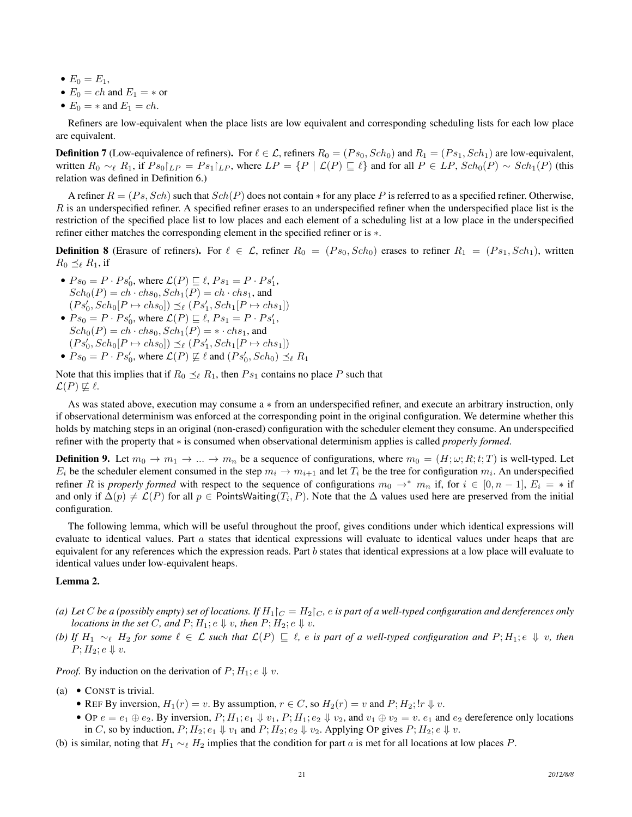- $E_0 = E_1$ ,
- $E_0 = ch$  and  $E_1 = *$  or
- $E_0 = *$  and  $E_1 = ch$ .

Refiners are low-equivalent when the place lists are low equivalent and corresponding scheduling lists for each low place are equivalent.

**Definition 7** (Low-equivalence of refiners). For  $\ell \in \mathcal{L}$ , refiners  $R_0 = (P_{s_0}, Sch_0)$  and  $R_1 = (P_{s_1}, Sch_1)$  are low-equivalent, written  $R_0 \sim_{\ell} R_1$ , if  $Ps_0|_{LP} = Ps_1|_{LP}$ , where  $LP = \{P \mid \mathcal{L}(P) \sqsubseteq \ell\}$  and for all  $P \in LP$ ,  $Sch_0(P) \sim Sch_1(P)$  (this relation was defined in Definition 6.)

A refiner  $R = (Ps, Sch)$  such that  $Sch(P)$  does not contain  $*$  for any place P is referred to as a specified refiner. Otherwise,  $R$  is an underspecified refiner. A specified refiner erases to an underspecified refiner when the underspecified place list is the restriction of the specified place list to low places and each element of a scheduling list at a low place in the underspecified refiner either matches the corresponding element in the specified refiner or is ∗.

**Definition 8** (Erasure of refiners). For  $\ell \in \mathcal{L}$ , refiner  $R_0 = (Ps_0, Sch_0)$  erases to refiner  $R_1 = (Ps_1, Sch_1)$ , written  $R_0 \preceq_{\ell} R_1$ , if

- $Ps_0 = P \cdot Ps'_0$ , where  $\mathcal{L}(P) \sqsubseteq \ell$ ,  $Ps_1 = P \cdot Ps'_1$ ,  $Sch_0(P) = ch \cdot chs_0, Sch_1(P) = ch \cdot chs_1$ , and  $(Ps'_0, Sch_0[P \mapsto chs_0]) \preceq_{\ell} (Ps'_1, Sch_1[P \mapsto chs_1])$
- $Ps_0 = P \cdot Ps'_0$ , where  $\mathcal{L}(P) \sqsubseteq \ell$ ,  $Ps_1 = P \cdot Ps'_1$ ,  $Sch_0(P) = ch \cdot chs_0, Sch_1(P) = * \cdot chs_1$ , and  $(Ps'_0, Sch_0[P \mapsto chs_0]) \preceq_{\ell} (Ps'_1, Sch_1[P \mapsto chs_1])$
- $Ps_0 = P \cdot Ps'_0$ , where  $\mathcal{L}(P) \not\sqsubseteq \ell$  and  $(Ps'_0, Sch_0) \preceq_{\ell} R_1$

Note that this implies that if  $R_0 \leq_{\ell} R_1$ , then  $Ps_1$  contains no place P such that  $\mathcal{L}(P) \not\sqsubseteq \ell$ .

As was stated above, execution may consume a ∗ from an underspecified refiner, and execute an arbitrary instruction, only if observational determinism was enforced at the corresponding point in the original configuration. We determine whether this holds by matching steps in an original (non-erased) configuration with the scheduler element they consume. An underspecified refiner with the property that ∗ is consumed when observational determinism applies is called *properly formed*.

**Definition 9.** Let  $m_0 \to m_1 \to \dots \to m_n$  be a sequence of configurations, where  $m_0 = (H; \omega; R; t; T)$  is well-typed. Let  $E_i$  be the scheduler element consumed in the step  $m_i \to m_{i+1}$  and let  $T_i$  be the tree for configuration  $m_i$ . An underspecified refiner R is *properly formed* with respect to the sequence of configurations  $m_0 \to^* m_n$  if, for  $i \in [0, n-1]$ ,  $E_i = *$  if and only if  $\Delta(p) \neq \mathcal{L}(P)$  for all  $p \in$  PointsWaiting( $T_i, P$ ). Note that the  $\Delta$  values used here are preserved from the initial configuration.

The following lemma, which will be useful throughout the proof, gives conditions under which identical expressions will evaluate to identical values. Part  $\alpha$  states that identical expressions will evaluate to identical values under heaps that are equivalent for any references which the expression reads. Part b states that identical expressions at a low place will evaluate to identical values under low-equivalent heaps.

#### Lemma 2.

- (a) Let C be a (possibly empty) set of locations. If  $H_1\upharpoonright_C = H_2\upharpoonright_C$ , e is part of a well-typed configuration and dereferences only *locations in the set* C, and  $P$ ;  $H_1$ ;  $e \Downarrow v$ , then  $P$ ;  $H_2$ ;  $e \Downarrow v$ .
- *(b)* If  $H_1 \sim_{\ell} H_2$  for some  $\ell \in \mathcal{L}$  such that  $\mathcal{L}(P) \sqsubseteq \ell$ , e is part of a well-typed configuration and  $P; H_1; e \Downarrow v$ , then  $P; H_2; e \Downarrow v$ .

*Proof.* By induction on the derivation of  $P$ ;  $H_1$ ;  $e \Downarrow v$ .

- (a) CONST is trivial.
	- REF By inversion,  $H_1(r) = v$ . By assumption,  $r \in C$ , so  $H_2(r) = v$  and  $P; H_2; !r \Downarrow v$ .
	- OP  $e = e_1 \oplus e_2$ . By inversion,  $P; H_1; e_1 \Downarrow v_1, P; H_1; e_2 \Downarrow v_2$ , and  $v_1 \oplus v_2 = v$ .  $e_1$  and  $e_2$  dereference only locations in C, so by induction,  $P; H_2; e_1 \Downarrow v_1$  and  $P; H_2; e_2 \Downarrow v_2$ . Applying OP gives  $P; H_2; e \Downarrow v$ .
- (b) is similar, noting that  $H_1 \sim_{\ell} H_2$  implies that the condition for part a is met for all locations at low places P.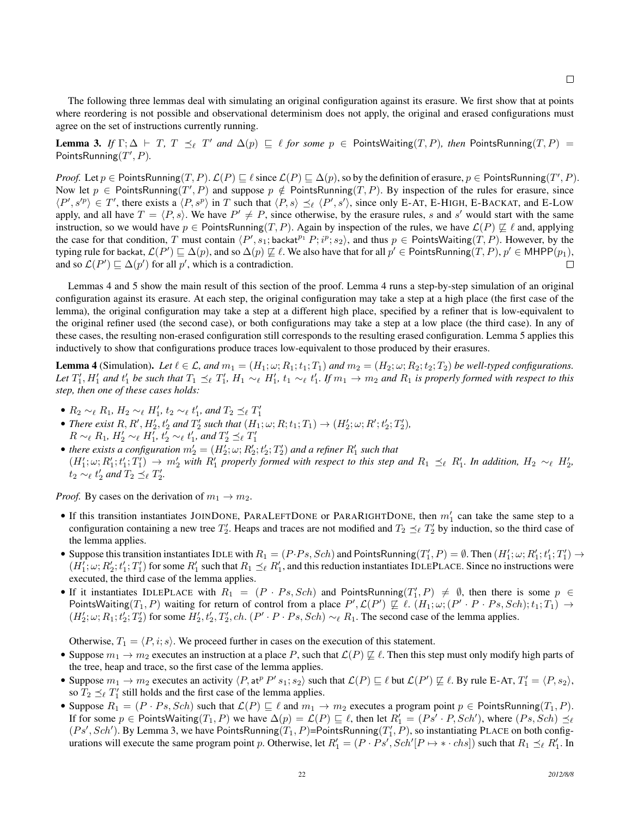The following three lemmas deal with simulating an original configuration against its erasure. We first show that at points where reordering is not possible and observational determinism does not apply, the original and erased configurations must agree on the set of instructions currently running.

**Lemma 3.** If  $\Gamma; \Delta \vdash T$ ,  $T \preceq_{\ell} T'$  and  $\Delta(p) \sqsubseteq \ell$  for some  $p \in$  PointsWaiting(T, P), then PointsRunning(T, P) = PointsRunning $(T', P)$ .

*Proof.* Let  $p \in$  PointsRunning $(T, P)$ .  $\mathcal{L}(P) \sqsubseteq \ell$  since  $\mathcal{L}(P) \sqsubseteq \Delta(p)$ , so by the definition of erasure,  $p \in$  PointsRunning $(T', P)$ . Now let  $p \in$  PointsRunning(T', P) and suppose  $p \notin$  PointsRunning(T, P). By inspection of the rules for erasure, since  $\langle P', s'^p \rangle \in T'$ , there exists a  $\langle P, s^p \rangle$  in T such that  $\langle P, s \rangle \preceq_{\ell} \langle P', s' \rangle$ , since only E-AT, E-HIGH, E-BACKAT, and E-LOW apply, and all have  $T = \langle P, s \rangle$ . We have  $P' \neq P$ , since otherwise, by the erasure rules, s and s' would start with the same instruction, so we would have  $p \in$  PointsRunning(T, P). Again by inspection of the rules, we have  $\mathcal{L}(P) \not\sqsubseteq \ell$  and, applying the case for that condition, T must contain  $\langle P', s_1; \text{backat}^{p_1} P; i^p; s_2 \rangle$ , and thus  $p \in \text{PointsWaiting}(T, P)$ . However, by the typing rule for backat,  $\mathcal{L}(P')\sqsubseteq\Delta(p)$ , and so  $\Delta(p)\not\sqsubseteq\ell.$  We also have that for all  $p'\in$  PointsRunning $(T,P),$   $p'\in$  MHPP $(p_1),$ and so  $\mathcal{L}(P') \sqsubseteq \Delta(p')$  for all p', which is a contradiction.  $\Box$ 

Lemmas 4 and 5 show the main result of this section of the proof. Lemma 4 runs a step-by-step simulation of an original configuration against its erasure. At each step, the original configuration may take a step at a high place (the first case of the lemma), the original configuration may take a step at a different high place, specified by a refiner that is low-equivalent to the original refiner used (the second case), or both configurations may take a step at a low place (the third case). In any of these cases, the resulting non-erased configuration still corresponds to the resulting erased configuration. Lemma 5 applies this inductively to show that configurations produce traces low-equivalent to those produced by their erasures.

**Lemma 4** (Simulation). Let  $l \in \mathcal{L}$ , and  $m_1 = (H_1; \omega; R_1; t_1; T_1)$  and  $m_2 = (H_2; \omega; R_2; t_2; T_2)$  be well-typed configurations. Let  $T_1', H_1'$  and  $t_1'$  be such that  $T_1 \preceq_\ell T_1', H_1 \sim_\ell H_1', t_1 \sim_\ell t_1', H m_1 \to m_2$  and  $R_1$  is properly formed with respect to this *step, then one of these cases holds:*

- $R_2 \sim_{\ell} R_1$ ,  $H_2 \sim_{\ell} H'_1$ ,  $t_2 \sim_{\ell} t'_1$ , and  $T_2 \preceq_{\ell} T'_1$
- *There exist*  $R, R', H'_2, t'_2$  and  $T'_2$  such that  $(H_1; \omega; R; t_1; T_1) \rightarrow (H'_2; \omega; R'; t'_2; T'_2)$ ,  $R \sim_{\ell} R_1$ ,  $H'_2 \sim_{\ell} H'_1$ ,  $t'_2 \sim_{\ell} t'_1$ , and  $T'_2 \preceq_{\ell} T'_1$
- there exists a configuration  $m'_2 = (H'_2; \omega; R'_2; t'_2; T'_2)$  and a refiner  $R'_1$  such that  $(H'_1; \omega; R'_1; t'_1; T'_1) \rightarrow m'_2$  with  $R'_1$  properly formed with respect to this step and  $R_1 \preceq_{\ell} R'_1$ . In addition,  $H_2 \sim_{\ell} H'_2$ ,  $t_2 \sim_{\ell} t'_2$  and  $T_2 \preceq_{\ell} T'_2$ .

*Proof.* By cases on the derivation of  $m_1 \rightarrow m_2$ .

- If this transition instantiates JOINDONE, PARALEFTDONE or PARARIGHTDONE, then  $m'_1$  can take the same step to a configuration containing a new tree  $T_2'$ . Heaps and traces are not modified and  $T_2 \preceq_{\ell} T_2'$  by induction, so the third case of the lemma applies.
- Suppose this transition instantiates IDLE with  $R_1 = (P \cdot Ps, Sch)$  and PointsRunning  $(T_1', P) = \emptyset$ . Then  $(H_1'; \omega; R_1'; t_1'; T_1') \rightarrow$  $(H'_1; \omega; R'_2; t'_1; T'_1)$  for some  $R'_1$  such that  $R_1 \preceq_{\ell} R'_1$ , and this reduction instantiates IDLEPLACE. Since no instructions were executed, the third case of the lemma applies.
- If it instantiates IDLEPLACE with  $R_1 = (P \cdot Ps, Sch)$  and PointsRunning $(T'_1, P) \neq \emptyset$ , then there is some  $p \in$ PointsWaiting(T<sub>1</sub>, P) waiting for return of control from a place  $P', \mathcal{L}(P') \not\sqsubseteq \ell$ .  $(H_1; \omega; (P' \cdot P \cdot Ps, Sch); t_1; T_1) \rightarrow$  $(H'_2; \omega; R_1; t'_2; T'_2)$  for some  $H'_2, t'_2, T'_2, ch. (P' \cdot P \cdot Ps, Sch) \sim_{\ell} R_1$ . The second case of the lemma applies.

Otherwise,  $T_1 = \langle P, i; s \rangle$ . We proceed further in cases on the execution of this statement.

- Suppose  $m_1 \to m_2$  executes an instruction at a place P, such that  $\mathcal{L}(P) \not\sqsubseteq \ell$ . Then this step must only modify high parts of the tree, heap and trace, so the first case of the lemma applies.
- Suppose  $m_1 \to m_2$  executes an activity  $\langle P, \text{at}^p P' s_1; s_2 \rangle$  such that  $\mathcal{L}(P) \sqsubseteq \ell$  but  $\mathcal{L}(P') \not\sqsubseteq \ell$ . By rule E-AT,  $T'_1 = \langle P, s_2 \rangle$ , so  $T_2 \preceq_{\ell} T'_1$  still holds and the first case of the lemma applies.
- Suppose  $R_1 = (P \cdot Ps, Sch)$  such that  $\mathcal{L}(P) \sqsubseteq \ell$  and  $m_1 \to m_2$  executes a program point  $p \in$  PointsRunning( $T_1, P$ ). If for some  $p \in$  PointsWaiting $(T_1, P)$  we have  $\Delta(p) = \mathcal{L}(P) \sqsubseteq \ell$ , then let  $R'_1 = (Ps' \cdot P, Sch')$ , where  $(Ps, Sch) \preceq_{\ell}$  $(Ps', Sch')$ . By Lemma 3, we have PointsRunning $(T_1, P)$ =PointsRunning $(T'_1, P)$ , so instantiating PLACE on both configurations will execute the same program point p. Otherwise, let  $R'_1 = (P \cdot Ps', Sch'[P \mapsto \cdot \cdot chs])$  such that  $R_1 \preceq_{\ell} R'_1$ . In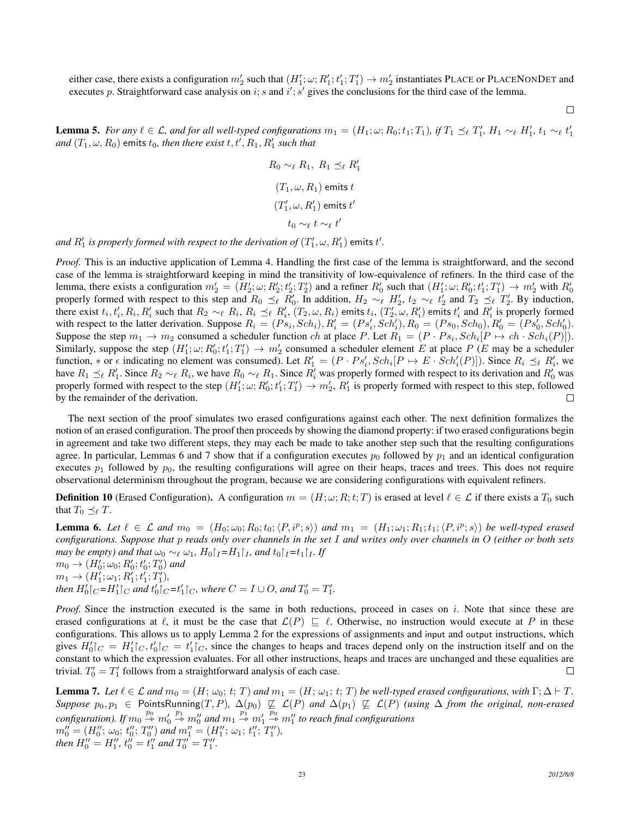either case, there exists a configuration  $m'_2$  such that  $(H'_1; \omega; R'_1; t'_1; T'_1) \to m'_2$  instantiates PLACE or PLACENONDET and executes p. Straightforward case analysis on i; s and i'; s' gives the conclusions for the third case of the lemma.

 $\Box$ 

**Lemma 5.** For any  $\ell \in \mathcal{L}$ , and for all well-typed configurations  $m_1 = (H_1; \omega; R_0; t_1; T_1)$ , if  $T_1 \preceq_{\ell} T'_1$ ,  $H_1 \sim_{\ell} H'_1$ ,  $t_1 \sim_{\ell} t'_1$  $and (T_1, \omega, R_0)$  emits  $t_0$ , then there exist  $t, t', R_1, R'_1$  such that

$$
R_0 \sim_{\ell} R_1, R_1 \preceq_{\ell} R'_1
$$
  
( $T_1, \omega, R_1$ ) emits  $t$   
( $T'_1, \omega, R'_1$ ) emits  $t'$   
 $t_0 \sim_{\ell} t \sim_{\ell} t'$ 

*and*  $R'_1$  *is properly formed with respect to the derivation of*  $(T'_1, \omega, R'_1)$  emits  $t'$ .

*Proof.* This is an inductive application of Lemma 4. Handling the first case of the lemma is straightforward, and the second case of the lemma is straightforward keeping in mind the transitivity of low-equivalence of refiners. In the third case of the lemma, there exists a configuration  $m'_2 = (H'_2; \omega; R'_2; t'_2; T'_2)$  and a refiner  $R'_0$  such that  $(H'_1; \omega; R'_0; t'_1; T'_1) \to m'_2$  with  $R'_0$ properly formed with respect to this step and  $R_0 \preceq_{\ell} R'_0$ . In addition,  $H_2 \sim_{\ell} H'_2$ ,  $t_2 \sim_{\ell} t'_2$  and  $T_2 \preceq_{\ell} T'_2$ . By induction, there exist  $t_i, t'_i, R_i, R'_i$  such that  $R_2 \sim_{\ell} R_i$ ,  $R_i \preceq_{\ell} R'_i$ ,  $(T_2, \omega, R_i)$  emits  $t_i$ ,  $(T'_2, \omega, R'_i)$  emits  $t'_i$  and  $R'_i$  is properly formed with respect to the latter derivation. Suppose  $R_i = (Ps_i, Sch_i), R'_i = (Ps'_i, Sch'_i), R_0 = (Ps_0, Sch_0), R'_0 = (Ps'_0, Sch'_0)$ . Suppose the step  $m_1 \to m_2$  consumed a scheduler function ch at place P. Let  $R_1 = (P \cdot Ps_i, Sch_i[P \mapsto ch \cdot Sch_i(P)]).$ Similarly, suppose the step  $(H'_1; \omega; R'_0; t'_1; T'_1) \to m'_2$  consumed a scheduler element E at place P (E may be a scheduler function,  $*$  or  $\epsilon$  indicating no element was consumed). Let  $R'_1 = (P \cdot Ps'_i, Sch_i[P \mapsto E \cdot Sch'_i(P)])$ . Since  $R_i \preceq_{\ell} R'_i$ , we have  $R_1 \preceq_{\ell} R'_1$ . Since  $R_2 \sim_{\ell} R_i$ , we have  $R_0 \sim_{\ell} R_1$ . Since  $R'_i$  was properly formed with respect to its derivation and  $R'_0$  was properly formed with respect to the step  $(H'_1; \omega; R'_0; t'_1; T'_1) \to m'_2$ ,  $R'_1$  is properly formed with respect to this step, followed by the remainder of the derivation.  $\Box$ 

The next section of the proof simulates two erased configurations against each other. The next definition formalizes the notion of an erased configuration. The proof then proceeds by showing the diamond property: if two erased configurations begin in agreement and take two different steps, they may each be made to take another step such that the resulting configurations agree. In particular, Lemmas 6 and 7 show that if a configuration executes  $p_0$  followed by  $p_1$  and an identical configuration executes  $p_1$  followed by  $p_0$ , the resulting configurations will agree on their heaps, traces and trees. This does not require observational determinism throughout the program, because we are considering configurations with equivalent refiners.

**Definition 10** (Erased Configuration). A configuration  $m = (H; \omega; R; t; T)$  is erased at level  $\ell \in \mathcal{L}$  if there exists a  $T_0$  such that  $T_0 \preceq_{\ell} T$ .

**Lemma 6.** Let  $\ell \in \mathcal{L}$  and  $m_0 = (H_0; \omega_0; R_0; t_0; \langle P, i^p; s \rangle)$  and  $m_1 = (H_1; \omega_1; R_1; t_1; \langle P, i^p; s \rangle)$  be well-typed erased *configurations. Suppose that* p *reads only over channels in the set* I *and writes only over channels in* O *(either or both sets may be empty) and that*  $\omega_0 \sim_{\ell} \omega_1$ ,  $H_0\upharpoonright_I = H_1\upharpoonright_I$ , and  $t_0\upharpoonright_I = t_1\upharpoonright_I$ . If  $m_0 \to (H_0'; \omega_0; R_0'; t_0'; T_0')$  and  $m_1 \rightarrow (H'_1; \omega_1; R'_1; t'_1; T'_1),$ 

*then*  $H_0$   $\big|_{C} = H_1' \big|_{C}$  *and*  $t_0' \big|_{C} = t_1' \big|_{C}$ *, where*  $C = I \cup O$ *, and*  $T_0' = T_1'$ *.* 

*Proof.* Since the instruction executed is the same in both reductions, proceed in cases on i. Note that since these are erased configurations at  $\ell$ , it must be the case that  $\mathcal{L}(P) \subseteq \ell$ . Otherwise, no instruction would execute at P in these configurations. This allows us to apply Lemma 2 for the expressions of assignments and input and output instructions, which gives  $H_0^t|_C = H_1^t|_C$ ,  $t_0^t|_C = t_1^t|_C$ , since the changes to heaps and traces depend only on the instruction itself and on the constant to which the expression evaluates. For all other instructions, heaps and traces are unchanged and these equalities are trivial.  $T'_0 = T'_1$  follows from a straightforward analysis of each case.  $\Box$ 

**Lemma 7.** Let  $\ell \in \mathcal{L}$  and  $m_0 = (H; \omega_0; t; T)$  and  $m_1 = (H; \omega_1; t; T)$  be well-typed erased configurations, with  $\Gamma; \Delta \vdash T$ . *Suppose*  $p_0, p_1 \in$  PointsRunning(T, P),  $\Delta(p_0) \not\sqsubseteq \mathcal{L}(P)$  *and*  $\Delta(p_1) \not\sqsubseteq \mathcal{L}(P)$  *(using*  $\Delta$  *from the original, non-erased configuration).* If  $m_0 \stackrel{p_0}{\rightarrow} m'_0$ <br> $m'' = (H'' \cdot \ldots \cdot H'' \cdot T'')$  and  $\stackrel{p_1}{\rightarrow} m_0''$  and  $m_1 \stackrel{p_1}{\rightarrow} m_1'$ <br>  $\stackrel{p_1}{\rightarrow} m_2''$  = (*H''*, (*y*),  $\stackrel{p_1}{\rightarrow}$  $\stackrel{p_0}{\rightarrow} m_1''$  to reach final configurations  $m_0'' = (H_0''; \omega_0; t_0''; T_0'')$  and  $m_1'' = (H_1''; \omega_1; t_1''; T_1''),$ *then*  $H_0'' = H_1''$ ,  $t_0'' = t_1''$  *and*  $T_0'' = T_1''$ .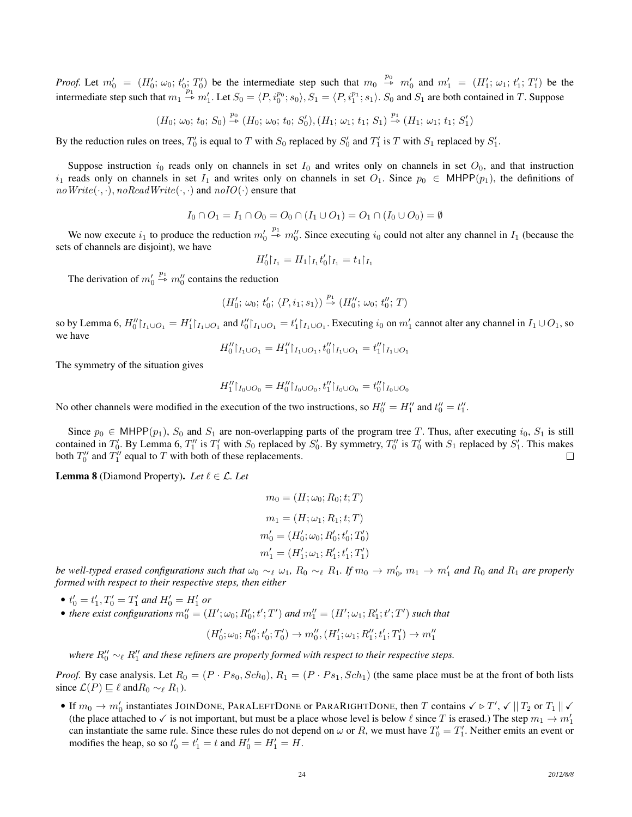*Proof.* Let  $m'_0 = (H'_0; \omega_0; t'_0; T'_0)$  be the intermediate step such that  $m_0 \stackrel{p_0}{\rightarrow} m'_0$  and  $m'_1 = (H'_1; \omega_1; t'_1; T'_1)$  be the intermediate step such that  $m_1 \stackrel{p_1}{\rightarrow} m'_1$ . Let  $S_0 = \langle P, i_0^{p_0}; s_0 \rangle$ ,  $S_1 = \langle P, i_1^{p_1}; s_1 \rangle$ .  $S_0$  and  $S_1$  are both contained in T. Suppose

$$
(H_0; \omega_0; t_0; S_0) \stackrel{p_0}{\rightarrow} (H_0; \omega_0; t_0; S'_0), (H_1; \omega_1; t_1; S_1) \stackrel{p_1}{\rightarrow} (H_1; \omega_1; t_1; S'_1)
$$

By the reduction rules on trees,  $T'_0$  is equal to T with  $S_0$  replaced by  $S'_0$  and  $T'_1$  is T with  $S_1$  replaced by  $S'_1$ .

Suppose instruction  $i_0$  reads only on channels in set  $I_0$  and writes only on channels in set  $O_0$ , and that instruction  $i_1$  reads only on channels in set  $I_1$  and writes only on channels in set  $O_1$ . Since  $p_0 \in \text{MHPP}(p_1)$ , the definitions of  $noWrite(\cdot, \cdot), noReadWrite(\cdot, \cdot)$  and  $noIO(\cdot)$  ensure that

$$
I_0 \cap O_1 = I_1 \cap O_0 = O_0 \cap (I_1 \cup O_1) = O_1 \cap (I_0 \cup O_0) = \emptyset
$$

We now execute  $i_1$  to produce the reduction  $m'_0$  $\stackrel{p_1}{\rightarrow}$   $m_0''$ . Since executing  $i_0$  could not alter any channel in  $I_1$  (because the sets of channels are disjoint), we have

$$
H_0' \restriction_{I_1} = H_1 \restriction_{I_1} t'_0 \restriction_{I_1} = t_1 \restriction_{I_1}
$$

The derivation of  $m_0'$  $\stackrel{p_1}{\rightarrow} m_0''$  contains the reduction

$$
(H'_0; \omega_0; t'_0; \langle P, i_1; s_1 \rangle) \stackrel{p_1}{\rightarrow} (H''_0; \omega_0; t''_0; T)
$$

so by Lemma 6,  $H_0''|_{I_1\cup O_1} = H_1'|_{I_1\cup O_1}$  and  $t_0''|_{I_1\cup O_1} = t_1'|_{I_1\cup O_1}$ . Executing  $i_0$  on  $m_1'$  cannot alter any channel in  $I_1\cup O_1$ , so we have

$$
H_0''|_{I_1\cup O_1}=H_1''|_{I_1\cup O_1}, t_0''|_{I_1\cup O_1}=t_1''|_{I_1\cup O_1}
$$

The symmetry of the situation gives

$$
H_1''|_{I_0\cup O_0}=H_0''|_{I_0\cup O_0}, t_1''|_{I_0\cup O_0}=t_0''|_{I_0\cup O_0}
$$

No other channels were modified in the execution of the two instructions, so  $H_0'' = H_1''$  and  $t_0'' = t_1''$ .

Since  $p_0 \in \text{MHPP}(p_1)$ ,  $S_0$  and  $S_1$  are non-overlapping parts of the program tree T. Thus, after executing  $i_0$ ,  $S_1$  is still contained in  $T'_0$ . By Lemma 6,  $T''_1$  is  $T'_1$  with  $S_0$  replaced by  $S'_0$ . By symmetry,  $T''_0$  is  $T'_0$  with  $S_1$  replaced by  $S'_1$ . This makes both  $T_0''$  and  $T_1''$  equal to T with both of these replacements.  $\Box$ 

**Lemma 8** (Diamond Property). Let  $\ell \in \mathcal{L}$ . Let

$$
m_0 = (H; \omega_0; R_0; t; T)
$$
  
\n
$$
m_1 = (H; \omega_1; R_1; t; T)
$$
  
\n
$$
m'_0 = (H'_0; \omega_0; R'_0; t'_0; T'_0)
$$
  
\n
$$
m'_1 = (H'_1; \omega_1; R'_1; t'_1; T'_1)
$$

*be well-typed erased configurations such that*  $\omega_0 \sim_\ell \omega_1$ ,  $R_0 \sim_\ell R_1$ . If  $m_0 \to m'_0$ ,  $m_1 \to m'_1$  and  $R_0$  and  $R_1$  are properly *formed with respect to their respective steps, then either*

•  $t'_0 = t'_1, T'_0 = T'_1$  and  $H'_0 = H'_1$  or

• there exist configurations  $m_0'' = (H'; \omega_0; R'_0; t'; T')$  and  $m_1'' = (H'; \omega_1; R'_1; t'; T')$  such that

$$
(H'_0; \omega_0; R''_0; t'_0; T'_0) \to m''_0, (H'_1; \omega_1; R''_1; t'_1; T'_1) \to m''_1
$$

where  $R_0'' \sim_\ell R_1''$  and these refiners are properly formed with respect to their respective steps.

*Proof.* By case analysis. Let  $R_0 = (P \cdot Ps_0, Sch_0), R_1 = (P \cdot Ps_1, Sch_1)$  (the same place must be at the front of both lists since  $\mathcal{L}(P) \sqsubseteq \ell$  and  $R_0 \sim_{\ell} R_1$ ).

• If  $m_0 \to m'_0$  instantiates JOINDONE, PARALEFTDONE or PARARIGHTDONE, then T contains  $\checkmark$   $\triangleright T'$ ,  $\checkmark$  ||T<sub>2</sub> or T<sub>1</sub>|| $\checkmark$ (the place attached to  $\checkmark$  is not important, but must be a place whose level is below  $\ell$  since T is erased.) The step  $m_1 \to m_1'$ can instantiate the same rule. Since these rules do not depend on  $\omega$  or R, we must have  $T'_0 = T'_1$ . Neither emits an event or modifies the heap, so so  $t'_0 = t'_1 = t$  and  $H'_0 = H'_1 = H$ .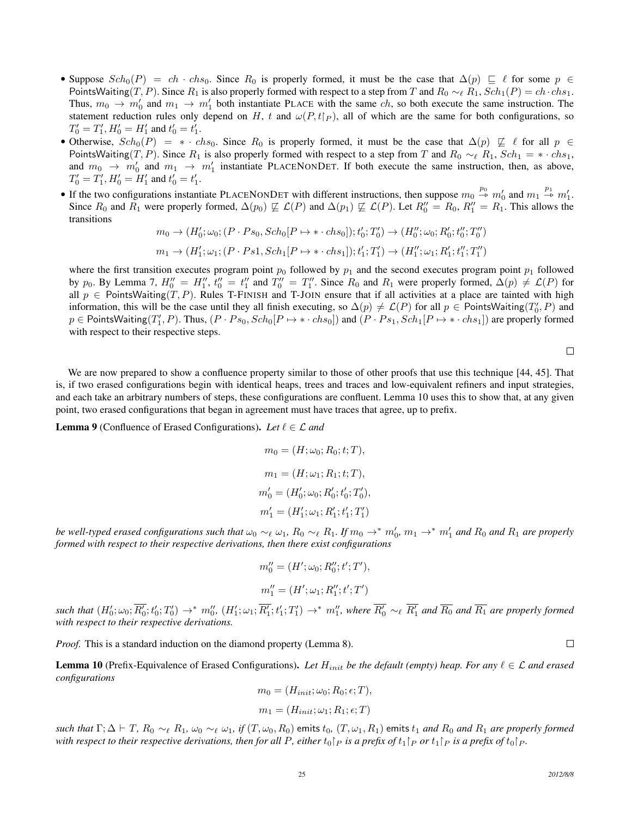- Suppose  $Sch_0(P) = ch \cdot chs_0$ . Since  $R_0$  is properly formed, it must be the case that  $\Delta(p) \subseteq \ell$  for some  $p \in$ PointsWaiting(T, P). Since  $R_1$  is also properly formed with respect to a step from T and  $R_0 \sim_{\ell} R_1$ ,  $Sch_1(P) = ch \cdot ch_1$ . Thus,  $m_0 \to m'_0$  and  $m_1 \to m'_1$  both instantiate PLACE with the same ch, so both execute the same instruction. The statement reduction rules only depend on H, t and  $\omega(P, t\vert_P)$ , all of which are the same for both configurations, so  $T'_0 = T'_1, H'_0 = H'_1$  and  $t'_0 = t'_1$ .
- Otherwise,  $Sch_0(P) = * \cdot chs_0$ . Since  $R_0$  is properly formed, it must be the case that  $\Delta(p) \not\sqsubseteq \ell$  for all  $p \in$ PointsWaiting(T, P). Since  $R_1$  is also properly formed with respect to a step from T and  $R_0 \sim_{\ell} R_1$ ,  $Sch_1 = * \cdot chs_1$ , and  $m_0 \to m'_0$  and  $m_1 \to m'_1$  instantiate PLACENONDET. If both execute the same instruction, then, as above,  $T'_0 = T'_1, H'_0 = H'_1$  and  $t'_0 = t'_1$ .
- If the two configurations instantiate PLACENONDET with different instructions, then suppose  $m_0 \stackrel{p_0}{\rightarrow} m'_0$  and  $m_1 \stackrel{p_1}{\rightarrow} m'_1$ .<br>Since *P*<sub>1</sub> and *P*<sub>1</sub> were properly formed  $\Lambda(n_1) \uparrow C(P)$  and  $\Lambda(n_2) \uparrow C(P)$ . Le Since  $R_0$  and  $R_1$  were properly formed,  $\Delta(p_0) \not\sqsubseteq \mathcal{L}(P)$  and  $\Delta(p_1) \not\sqsubseteq \mathcal{L}(P)$ . Let  $R_0'' = R_0$ ,  $R_1'' = R_1$ . This allows the transitions

$$
m_0 \to (H'_0; \omega_0; (P \cdot Ps_0, Sch_0[P \mapsto * \cdot chs_0]); t'_0; T'_0) \to (H''_0; \omega_0; R'_0; t''_0; T''_0)
$$
  

$$
m_1 \to (H'_1; \omega_1; (P \cdot Ps_1, Sch_1[P \mapsto * \cdot chs_1]); t'_1; T'_1) \to (H''_1; \omega_1; R'_1; t''_1; T''_1)
$$

where the first transition executes program point  $p_0$  followed by  $p_1$  and the second executes program point  $p_1$  followed by  $p_0$ . By Lemma 7,  $H''_0 = H''_1$ ,  $t''_0 = t''_1$  and  $T''_0 = T''_1$ . Since  $R_0$  and  $R_1$  were properly formed,  $\Delta(p) \neq \mathcal{L}(P)$  for all  $p \in$  PointsWaiting(T, P). Rules T-FINISH and T-JOIN ensure that if all activities at a place are tainted with high information, this will be the case until they all finish executing, so  $\Delta(p) \neq \mathcal{L}(P)$  for all  $p \in$  PointsWaiting( $T'_0, P$ ) and  $p \in$  PointsWaiting( $T'_1, P$ ). Thus,  $(P \cdot Ps_0, Sch_0[P \mapsto * \cdot chs_0])$  and  $(P \cdot Ps_1, Sch_1[P \mapsto * \cdot chs_1])$  are properly formed with respect to their respective steps.

 $\Box$ 

We are now prepared to show a confluence property similar to those of other proofs that use this technique [44, 45]. That is, if two erased configurations begin with identical heaps, trees and traces and low-equivalent refiners and input strategies, and each take an arbitrary numbers of steps, these configurations are confluent. Lemma 10 uses this to show that, at any given point, two erased configurations that began in agreement must have traces that agree, up to prefix.

**Lemma 9** (Confluence of Erased Configurations). Let  $\ell \in \mathcal{L}$  and

$$
m_0 = (H; \omega_0; R_0; t; T),
$$
  
\n
$$
m_1 = (H; \omega_1; R_1; t; T),
$$
  
\n
$$
m'_0 = (H'_0; \omega_0; R'_0; t'_0; T'_0),
$$
  
\n
$$
m'_1 = (H'_1; \omega_1; R'_1; t'_1; T'_1)
$$

*be well-typed erased configurations such that*  $\omega_0 \sim_\ell \omega_1$ ,  $R_0 \sim_\ell R_1$ . If  $m_0 \to^* m'_0$ ,  $m_1 \to^* m'_1$  and  $R_0$  and  $R_1$  are properly *formed with respect to their respective derivations, then there exist configurations*

$$
m_0'' = (H'; \omega_0; R_0''; t'; T'),
$$
  

$$
m_1'' = (H'; \omega_1; R_1''; t'; T')
$$

such that  $(H'_0;\omega_0;\overline{R'_0};t'_0;T'_0)\to^* m''_0$ ,  $(H'_1;\omega_1;\overline{R'_1};t'_1;T'_1)\to^* m''_1$ , where  $\overline{R'_0}\sim_\ell \overline{R'_1}$  and  $\overline{R_0}$  and  $\overline{R_1}$  are properly formed *with respect to their respective derivations.*

*Proof.* This is a standard induction on the diamond property (Lemma 8).

**Lemma 10** (Prefix-Equivalence of Erased Configurations). Let  $H_{init}$  be the default (empty) heap. For any  $\ell \in \mathcal{L}$  and erased *configurations*

$$
m_0 = (H_{init}; \omega_0; R_0; \epsilon; T),
$$
  

$$
m_1 = (H_{init}; \omega_1; R_1; \epsilon; T)
$$

*such that*  $\Gamma; \Delta \vdash T$ ,  $R_0 \sim_{\ell} R_1$ ,  $\omega_0 \sim_{\ell} \omega_1$ , if  $(T, \omega_0, R_0)$  emits  $t_0$ ,  $(T, \omega_1, R_1)$  emits  $t_1$  *and*  $R_0$  *and*  $R_1$  *are properly formed with respect to their respective derivations, then for all P, either*  $t_0$  *P is a prefix of*  $t_1$  *P or*  $t_1$  *P is a prefix of*  $t_0$  *P.* 

 $\Box$